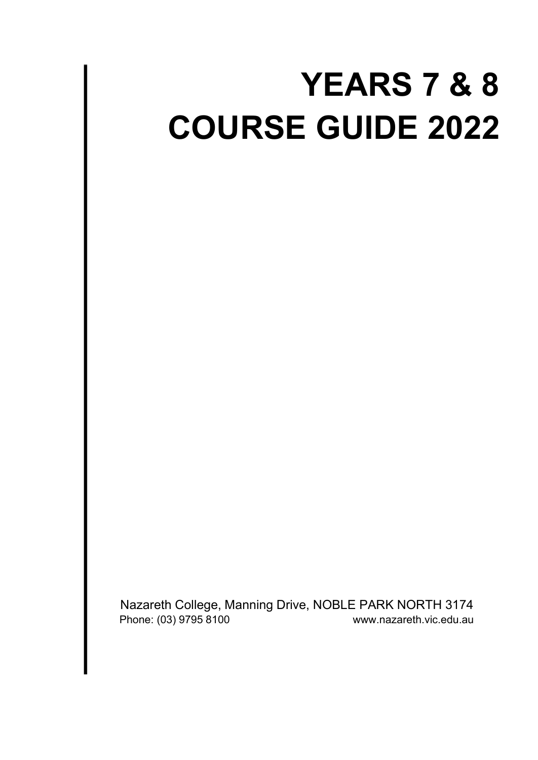# **YEARS 7 & 8 COURSE GUIDE 2022**

Nazareth College, Manning Drive, NOBLE PARK NORTH 3174 Phone: (03) 9795 8100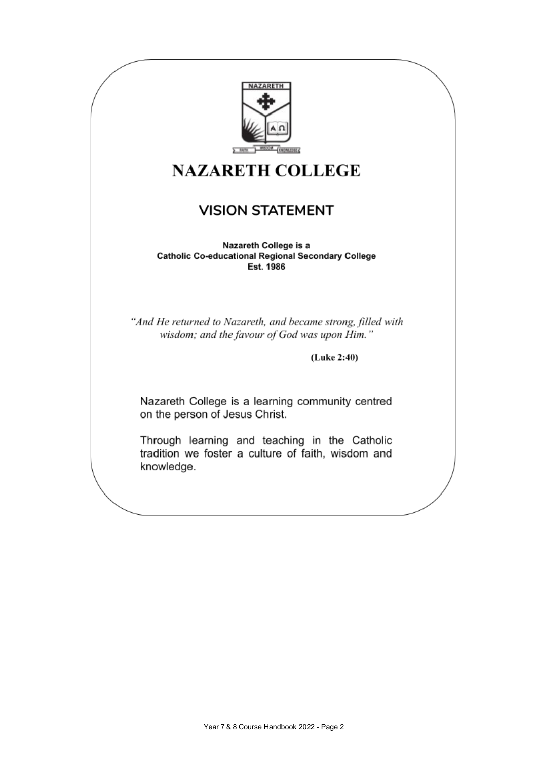

## **NAZARETH COLLEGE**

### **VISION STATEMENT**

Nazareth College is a **Catholic Co-educational Regional Secondary College** Est. 1986

"And He returned to Nazareth, and became strong, filled with wisdom; and the favour of God was upon Him."

(Luke 2:40)

Nazareth College is a learning community centred on the person of Jesus Christ.

Through learning and teaching in the Catholic tradition we foster a culture of faith, wisdom and knowledge.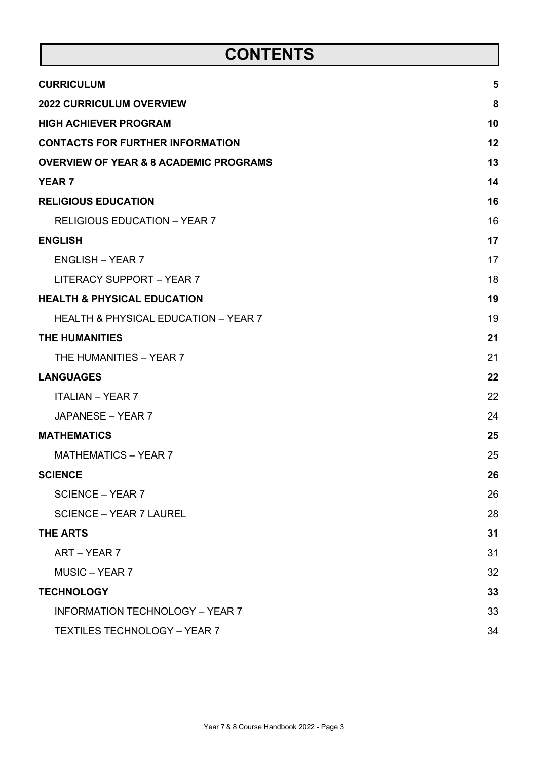## **CONTENTS**

| <b>CURRICULUM</b>                                 | 5  |
|---------------------------------------------------|----|
| <b>2022 CURRICULUM OVERVIEW</b>                   | 8  |
| <b>HIGH ACHIEVER PROGRAM</b>                      | 10 |
| <b>CONTACTS FOR FURTHER INFORMATION</b>           | 12 |
| <b>OVERVIEW OF YEAR &amp; 8 ACADEMIC PROGRAMS</b> | 13 |
| <b>YEAR 7</b>                                     | 14 |
| <b>RELIGIOUS EDUCATION</b>                        | 16 |
| <b>RELIGIOUS EDUCATION - YEAR 7</b>               | 16 |
| <b>ENGLISH</b>                                    | 17 |
| <b>ENGLISH - YEAR 7</b>                           | 17 |
| <b>LITERACY SUPPORT - YEAR 7</b>                  | 18 |
| <b>HEALTH &amp; PHYSICAL EDUCATION</b>            | 19 |
| <b>HEALTH &amp; PHYSICAL EDUCATION - YEAR 7</b>   | 19 |
| <b>THE HUMANITIES</b>                             | 21 |
| THE HUMANITIES - YEAR 7                           | 21 |
| <b>LANGUAGES</b>                                  | 22 |
| <b>ITALIAN - YEAR 7</b>                           | 22 |
| JAPANESE - YEAR 7                                 | 24 |
| <b>MATHEMATICS</b>                                | 25 |
| <b>MATHEMATICS - YEAR 7</b>                       | 25 |
| <b>SCIENCE</b>                                    | 26 |
| <b>SCIENCE – YEAR 7</b>                           | 26 |
| <b>SCIENCE - YEAR 7 LAUREL</b>                    | 28 |
| <b>THE ARTS</b>                                   | 31 |
| ART - YEAR 7                                      | 31 |
| <b>MUSIC – YEAR 7</b>                             | 32 |
| <b>TECHNOLOGY</b>                                 | 33 |
| <b>INFORMATION TECHNOLOGY - YEAR 7</b>            | 33 |
| <b>TEXTILES TECHNOLOGY - YEAR 7</b>               | 34 |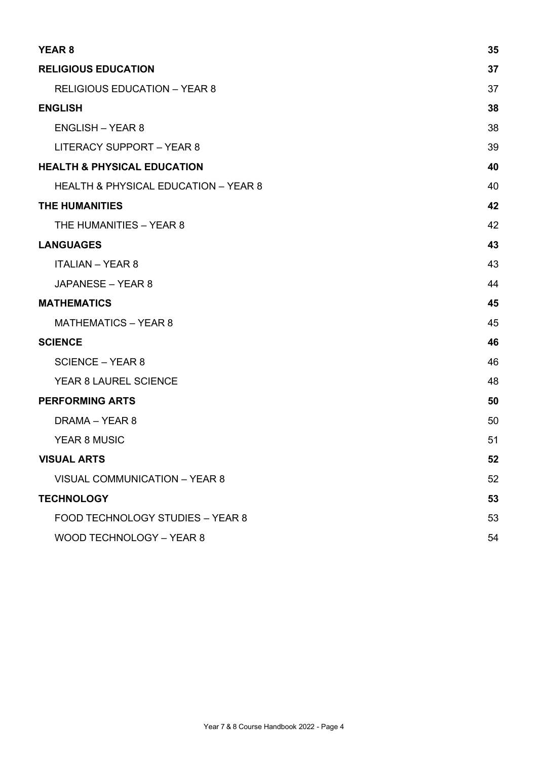| <b>YEAR 8</b>                                   | 35 |
|-------------------------------------------------|----|
| <b>RELIGIOUS EDUCATION</b>                      | 37 |
| <b>RELIGIOUS EDUCATION - YEAR 8</b>             | 37 |
| <b>ENGLISH</b>                                  | 38 |
| <b>ENGLISH - YEAR 8</b>                         | 38 |
| LITERACY SUPPORT - YEAR 8                       | 39 |
| <b>HEALTH &amp; PHYSICAL EDUCATION</b>          | 40 |
| <b>HEALTH &amp; PHYSICAL EDUCATION - YEAR 8</b> | 40 |
| <b>THE HUMANITIES</b>                           | 42 |
| THE HUMANITIES - YEAR 8                         | 42 |
| <b>LANGUAGES</b>                                | 43 |
| <b>ITALIAN - YEAR 8</b>                         | 43 |
| JAPANESE - YEAR 8                               | 44 |
| <b>MATHEMATICS</b>                              | 45 |
| <b>MATHEMATICS - YEAR 8</b>                     | 45 |
| <b>SCIENCE</b>                                  | 46 |
| <b>SCIENCE - YEAR 8</b>                         | 46 |
| YEAR 8 LAUREL SCIENCE                           | 48 |
| <b>PERFORMING ARTS</b>                          | 50 |
| DRAMA - YEAR 8                                  | 50 |
| <b>YEAR 8 MUSIC</b>                             | 51 |
| <b>VISUAL ARTS</b>                              | 52 |
| <b>VISUAL COMMUNICATION - YEAR 8</b>            | 52 |
| <b>TECHNOLOGY</b>                               | 53 |
| FOOD TECHNOLOGY STUDIES - YEAR 8                | 53 |
| <b>WOOD TECHNOLOGY - YEAR 8</b>                 | 54 |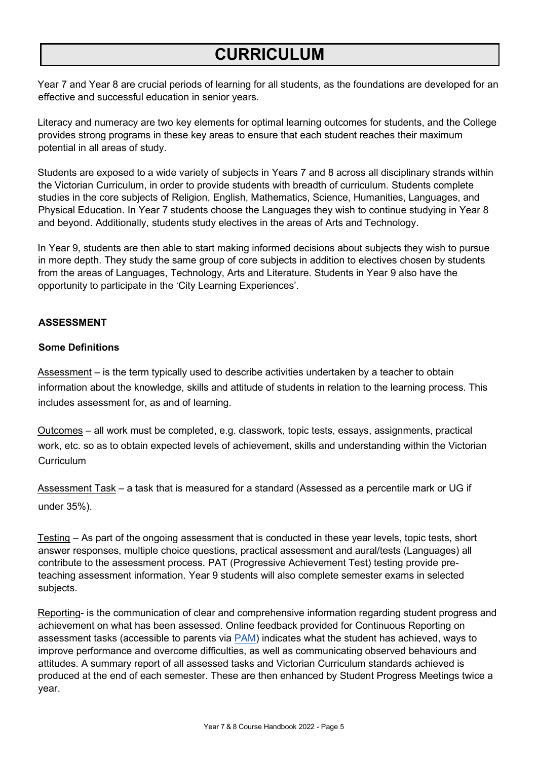## **CURRICULUM**

Year 7 and Year 8 are crucial periods of learning for all students, as the foundations are developed for an effective and successful education in senior years.

Literacy and numeracy are two key elements for optimal learning outcomes for students, and the College provides strong programs in these key areas to ensure that each student reaches their maximum potential in all areas of study.

Students are exposed to a wide variety of subjects in Years 7 and 8 across all disciplinary strands within the Victorian Curriculum, in order to provide students with breadth of curriculum. Students complete studies in the core subjects of Religion, English, Mathematics, Science, Humanities, Languages, and Physical Education. In Year 7 students choose the Languages they wish to continue studying in Year 8 and beyond. Additionally, students study electives in the areas of Arts and Technology.

In Year 9, students are then able to start making informed decisions about subjects they wish to pursue in more depth. They study the same group of core subjects in addition to electives chosen by students from the areas of Languages, Technology, Arts and Literature. Students in Year 9 also have the opportunity to participate in the 'City Learning Experiences'.

### **ASSESSMENT**

### **Some Definitions**

Assessment – is the term typically used to describe activities undertaken by a teacher to obtain information about the knowledge, skills and attitude of students in relation to the learning process. This includes assessment for, as and of learning.

Outcomes – all work must be completed, e.g. classwork, topic tests, essays, assignments, practical work, etc. so as to obtain expected levels of achievement, skills and understanding within the Victorian **Curriculum** 

Assessment Task – a task that is measured for a standard (Assessed as a percentile mark or UG if under 35%).

Testing – As part of the ongoing assessment that is conducted in these year levels, topic tests, short answer responses, multiple choice questions, practical assessment and aural/tests (Languages) all contribute to the assessment process. PAT (Progressive Achievement Test) testing provide preteaching assessment information. Year 9 students will also complete semester exams in selected subjects.

Reporting- is the communication of clear and comprehensive information regarding student progress and achievement on what has been assessed. Online feedback provided for Continuous Reporting on assessment tasks (accessible to parents via **PAM)** indicates what the student has achieved, ways to improve performance and overcome difficulties, as well as communicating observed behaviours and attitudes. A summary report of all assessed tasks and Victorian Curriculum standards achieved is produced at the end of each semester. These are then enhanced by Student Progress Meetings twice a year.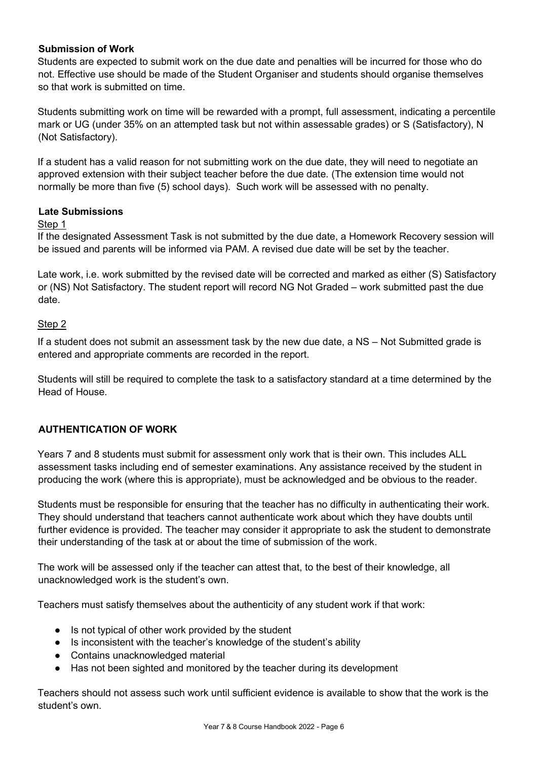### **Submission of Work**

Students are expected to submit work on the due date and penalties will be incurred for those who do not. Effective use should be made of the Student Organiser and students should organise themselves so that work is submitted on time.

Students submitting work on time will be rewarded with a prompt, full assessment, indicating a percentile mark or UG (under 35% on an attempted task but not within assessable grades) or S (Satisfactory), N (Not Satisfactory).

If a student has a valid reason for not submitting work on the due date, they will need to negotiate an approved extension with their subject teacher before the due date. (The extension time would not normally be more than five (5) school days). Such work will be assessed with no penalty.

### **Late Submissions**

### Step 1

If the designated Assessment Task is not submitted by the due date, a Homework Recovery session will be issued and parents will be informed via PAM. A revised due date will be set by the teacher.

Late work, i.e. work submitted by the revised date will be corrected and marked as either (S) Satisfactory or (NS) Not Satisfactory. The student report will record NG Not Graded – work submitted past the due date.

### Step 2

If a student does not submit an assessment task by the new due date, a NS – Not Submitted grade is entered and appropriate comments are recorded in the report.

Students will still be required to complete the task to a satisfactory standard at a time determined by the Head of House.

### **AUTHENTICATION OF WORK**

Years 7 and 8 students must submit for assessment only work that is their own. This includes ALL assessment tasks including end of semester examinations. Any assistance received by the student in producing the work (where this is appropriate), must be acknowledged and be obvious to the reader.

Students must be responsible for ensuring that the teacher has no difficulty in authenticating their work. They should understand that teachers cannot authenticate work about which they have doubts until further evidence is provided. The teacher may consider it appropriate to ask the student to demonstrate their understanding of the task at or about the time of submission of the work.

The work will be assessed only if the teacher can attest that, to the best of their knowledge, all unacknowledged work is the student's own.

Teachers must satisfy themselves about the authenticity of any student work if that work:

- Is not typical of other work provided by the student
- Is inconsistent with the teacher's knowledge of the student's ability
- Contains unacknowledged material
- Has not been sighted and monitored by the teacher during its development

Teachers should not assess such work until sufficient evidence is available to show that the work is the student's own.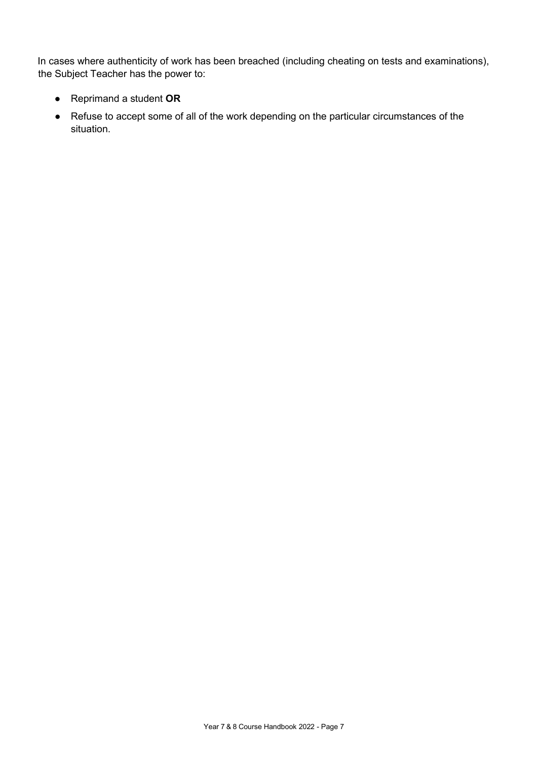In cases where authenticity of work has been breached (including cheating on tests and examinations), the Subject Teacher has the power to:

- Reprimand a student **OR**
- Refuse to accept some of all of the work depending on the particular circumstances of the situation.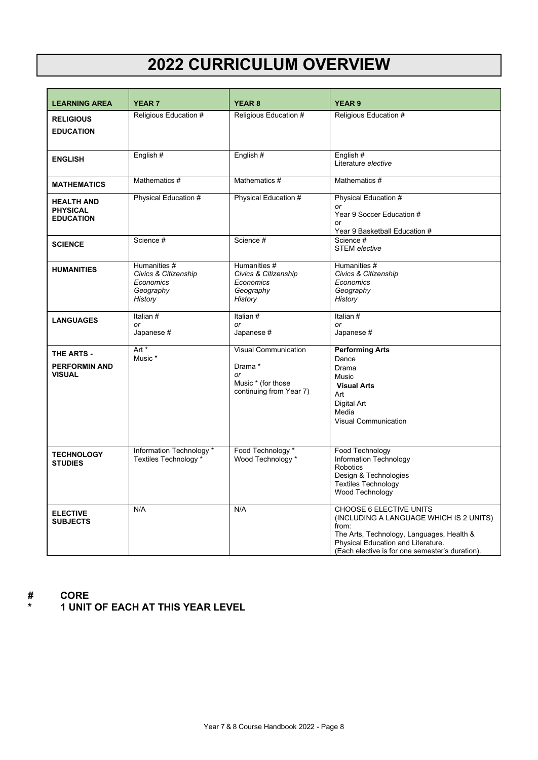## **2022 CURRICULUM OVERVIEW**

| <b>LEARNING AREA</b>                                     | <b>YEAR 7</b>                                                             | <b>YEAR 8</b>                                                                                 | <b>YEAR 9</b>                                                                                                                                                                                                     |
|----------------------------------------------------------|---------------------------------------------------------------------------|-----------------------------------------------------------------------------------------------|-------------------------------------------------------------------------------------------------------------------------------------------------------------------------------------------------------------------|
| <b>RELIGIOUS</b><br><b>EDUCATION</b>                     | Religious Education #                                                     | Religious Education #                                                                         | Religious Education #                                                                                                                                                                                             |
| <b>ENGLISH</b>                                           | English#                                                                  | English#                                                                                      | English#<br>Literature elective                                                                                                                                                                                   |
| <b>MATHEMATICS</b>                                       | Mathematics #                                                             | Mathematics #                                                                                 | Mathematics #                                                                                                                                                                                                     |
| <b>HEALTH AND</b><br><b>PHYSICAL</b><br><b>EDUCATION</b> | Physical Education #                                                      | Physical Education #                                                                          | Physical Education #<br>or<br>Year 9 Soccer Education #<br>or<br>Year 9 Basketball Education #                                                                                                                    |
| <b>SCIENCE</b>                                           | Science #                                                                 | Science #                                                                                     | Science #<br><b>STEM</b> elective                                                                                                                                                                                 |
| <b>HUMANITIES</b>                                        | Humanities #<br>Civics & Citizenship<br>Economics<br>Geography<br>History | Humanities #<br>Civics & Citizenship<br>Economics<br>Geography<br>History                     | Humanities #<br>Civics & Citizenship<br>Economics<br>Geography<br>History                                                                                                                                         |
| <b>LANGUAGES</b>                                         | Italian #<br>or<br>Japanese #                                             | Italian #<br>or<br>Japanese #                                                                 | Italian #<br>or<br>Japanese #                                                                                                                                                                                     |
| THE ARTS -<br><b>PERFORMIN AND</b><br><b>VISUAL</b>      | Art *<br>Music *                                                          | <b>Visual Communication</b><br>Drama *<br>or<br>Music * (for those<br>continuing from Year 7) | <b>Performing Arts</b><br>Dance<br>Drama<br>Music<br><b>Visual Arts</b><br>Art<br>Digital Art<br>Media<br><b>Visual Communication</b>                                                                             |
| <b>TECHNOLOGY</b><br><b>STUDIES</b>                      | Information Technology *<br>Textiles Technology *                         | Food Technology *<br>Wood Technology *                                                        | Food Technology<br>Information Technology<br><b>Robotics</b><br>Design & Technologies<br><b>Textiles Technology</b><br>Wood Technology                                                                            |
| <b>ELECTIVE</b><br><b>SUBJECTS</b>                       | N/A                                                                       | N/A                                                                                           | CHOOSE 6 ELECTIVE UNITS<br>(INCLUDING A LANGUAGE WHICH IS 2 UNITS)<br>from:<br>The Arts, Technology, Languages, Health &<br>Physical Education and Literature.<br>(Each elective is for one semester's duration). |

- **# CORE**
	- **\* 1 UNIT OF EACH AT THIS YEAR LEVEL**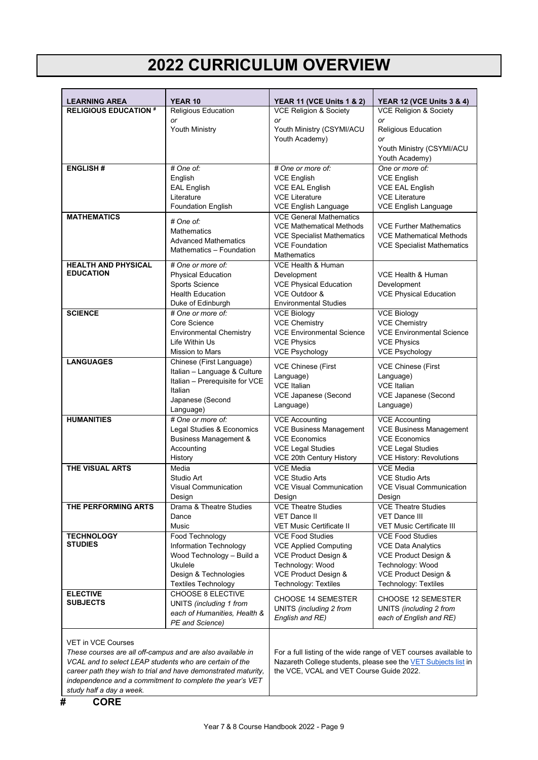## **2022 CURRICULUM OVERVIEW**

| <b>LEARNING AREA</b>                                                                    | <b>YEAR 10</b>                                                 | <b>YEAR 11 (VCE Units 1 &amp; 2)</b>                    | <b>YEAR 12 (VCE Units 3 &amp; 4)</b>                             |
|-----------------------------------------------------------------------------------------|----------------------------------------------------------------|---------------------------------------------------------|------------------------------------------------------------------|
| <b>RELIGIOUS EDUCATION #</b>                                                            | Religious Education                                            |                                                         | <b>VCE Religion &amp; Society</b>                                |
|                                                                                         | or                                                             | or                                                      | or                                                               |
|                                                                                         | Youth Ministry                                                 | Youth Ministry (CSYMI/ACU                               | Religious Education                                              |
|                                                                                         |                                                                | Youth Academy)                                          | or<br>Youth Ministry (CSYMI/ACU                                  |
|                                                                                         |                                                                |                                                         | Youth Academy)                                                   |
| <b>ENGLISH#</b>                                                                         | # One of:                                                      | # One or more of:                                       | One or more of:                                                  |
|                                                                                         | English                                                        | <b>VCE English</b>                                      | <b>VCE English</b>                                               |
|                                                                                         | <b>EAL English</b><br>Literature                               | <b>VCE EAL English</b><br><b>VCE Literature</b>         | <b>VCE EAL English</b><br><b>VCE Literature</b>                  |
|                                                                                         | <b>Foundation English</b>                                      | VCE English Language                                    | <b>VCE English Language</b>                                      |
| <b>MATHEMATICS</b>                                                                      |                                                                | <b>VCE General Mathematics</b>                          |                                                                  |
|                                                                                         | # One of:<br><b>Mathematics</b>                                | <b>VCE Mathematical Methods</b>                         | <b>VCE Further Mathematics</b>                                   |
|                                                                                         | <b>Advanced Mathematics</b>                                    | <b>VCE Specialist Mathematics</b>                       | <b>VCE Mathematical Methods</b>                                  |
|                                                                                         | Mathematics - Foundation                                       | <b>VCE Foundation</b>                                   | <b>VCE Specialist Mathematics</b>                                |
|                                                                                         |                                                                | <b>Mathematics</b>                                      |                                                                  |
| <b>HEALTH AND PHYSICAL</b><br><b>EDUCATION</b>                                          | # One or more of:                                              | VCE Health & Human                                      | VCE Health & Human                                               |
|                                                                                         | <b>Physical Education</b><br>Sports Science                    | Development<br><b>VCE Physical Education</b>            | Development                                                      |
|                                                                                         | <b>Health Education</b>                                        | VCE Outdoor &                                           | <b>VCE Physical Education</b>                                    |
|                                                                                         | Duke of Edinburgh                                              | <b>Environmental Studies</b>                            |                                                                  |
| <b>SCIENCE</b>                                                                          | # One or more of:                                              | <b>VCE Biology</b>                                      | <b>VCE Biology</b>                                               |
|                                                                                         | Core Science                                                   | <b>VCE Chemistry</b>                                    | <b>VCE Chemistry</b>                                             |
|                                                                                         | <b>Environmental Chemistry</b>                                 | <b>VCE Environmental Science</b>                        | <b>VCE Environmental Science</b>                                 |
|                                                                                         | Life Within Us                                                 | <b>VCE Physics</b>                                      | <b>VCE Physics</b>                                               |
| <b>LANGUAGES</b>                                                                        | <b>Mission to Mars</b><br>Chinese (First Language)             | <b>VCE Psychology</b>                                   | <b>VCE Psychology</b>                                            |
|                                                                                         | Italian - Language & Culture                                   | <b>VCE Chinese (First</b>                               | <b>VCE Chinese (First</b>                                        |
|                                                                                         | Italian - Prerequisite for VCE                                 | Language)                                               | Language)                                                        |
|                                                                                         | Italian                                                        | <b>VCE Italian</b><br>VCE Japanese (Second              | <b>VCE Italian</b><br><b>VCE Japanese (Second</b>                |
|                                                                                         | Japanese (Second                                               | Language)                                               | Language)                                                        |
|                                                                                         | Language)                                                      |                                                         |                                                                  |
| <b>HUMANITIES</b>                                                                       | # One or more of:<br>Legal Studies & Economics                 | <b>VCE Accounting</b><br><b>VCE Business Management</b> | <b>VCE Accounting</b><br><b>VCE Business Management</b>          |
|                                                                                         | <b>Business Management &amp;</b>                               | <b>VCE Economics</b>                                    | <b>VCE Economics</b>                                             |
|                                                                                         | Accounting                                                     | <b>VCE Legal Studies</b><br><b>VCE Legal Studies</b>    |                                                                  |
|                                                                                         | History                                                        | VCE 20th Century History                                | <b>VCE History: Revolutions</b>                                  |
| THE VISUAL ARTS                                                                         | Media                                                          | <b>VCE Media</b>                                        | <b>VCE Media</b>                                                 |
|                                                                                         | Studio Art                                                     | <b>VCE Studio Arts</b>                                  | <b>VCE Studio Arts</b>                                           |
|                                                                                         | <b>Visual Communication</b>                                    | <b>VCE Visual Communication</b>                         | <b>VCE Visual Communication</b>                                  |
| THE PERFORMING ARTS                                                                     | Design<br>Drama & Theatre Studies                              | Design<br><b>VCE Theatre Studies</b>                    | Design<br><b>VCE Theatre Studies</b>                             |
|                                                                                         | Dance                                                          | <b>VET Dance II</b>                                     | VET Dance III                                                    |
|                                                                                         | Music                                                          | <b>VET Music Certificate II</b>                         | <b>VET Music Certificate III</b>                                 |
| <b>TECHNOLOGY</b>                                                                       | Food Technology                                                | <b>VCE Food Studies</b>                                 | <b>VCE Food Studies</b>                                          |
| <b>STUDIES</b>                                                                          | Information Technology                                         | <b>VCE Applied Computing</b>                            | <b>VCE Data Analytics</b>                                        |
|                                                                                         | Wood Technology - Build a                                      | VCE Product Design &                                    | VCE Product Design &                                             |
|                                                                                         | Ukulele<br>Design & Technologies                               | Technology: Wood<br>VCE Product Design &                | Technology: Wood<br>VCE Product Design &                         |
|                                                                                         | <b>Textiles Technology</b>                                     | <b>Technology: Textiles</b>                             | Technology: Textiles                                             |
| <b>ELECTIVE</b>                                                                         | CHOOSE 8 ELECTIVE                                              |                                                         |                                                                  |
| <b>SUBJECTS</b>                                                                         | UNITS (including 1 from                                        | CHOOSE 14 SEMESTER                                      | <b>CHOOSE 12 SEMESTER</b>                                        |
|                                                                                         | each of Humanities, Health &                                   | UNITS (including 2 from<br>English and RE)              | UNITS (including 2 from<br>each of English and RE)               |
|                                                                                         | PE and Science)                                                |                                                         |                                                                  |
|                                                                                         |                                                                |                                                         |                                                                  |
| <b>VET in VCE Courses</b><br>These courses are all off-campus and are also available in |                                                                |                                                         | For a full listing of the wide range of VET courses available to |
| VCAL and to select LEAP students who are certain of the                                 |                                                                |                                                         | Nazareth College students, please see the VET Subjects list in   |
|                                                                                         | career path they wish to trial and have demonstrated maturity, | the VCE, VCAL and VET Course Guide 2022.                |                                                                  |
|                                                                                         | independence and a commitment to complete the year's VET       |                                                         |                                                                  |
| study half a day a week.                                                                |                                                                |                                                         |                                                                  |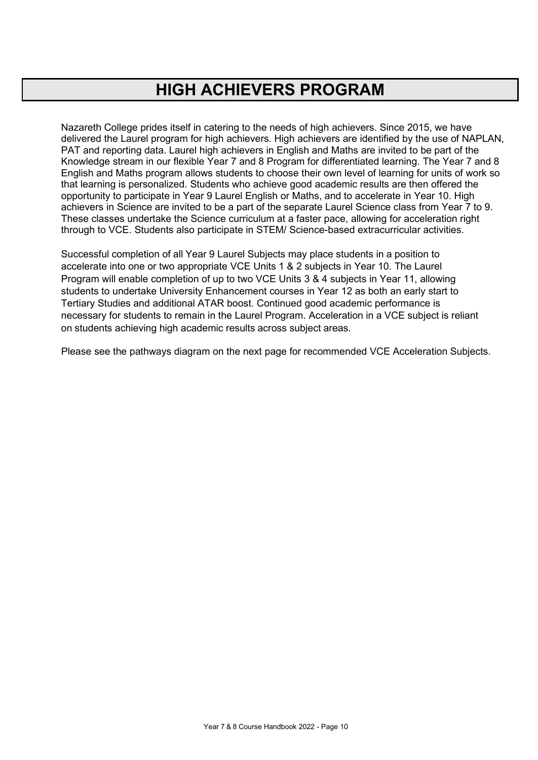## **HIGH ACHIEVERS PROGRAM**

Nazareth College prides itself in catering to the needs of high achievers. Since 2015, we have delivered the Laurel program for high achievers. High achievers are identified by the use of NAPLAN, PAT and reporting data. Laurel high achievers in English and Maths are invited to be part of the Knowledge stream in our flexible Year 7 and 8 Program for differentiated learning. The Year 7 and 8 English and Maths program allows students to choose their own level of learning for units of work so that learning is personalized. Students who achieve good academic results are then offered the opportunity to participate in Year 9 Laurel English or Maths, and to accelerate in Year 10. High achievers in Science are invited to be a part of the separate Laurel Science class from Year 7 to 9. These classes undertake the Science curriculum at a faster pace, allowing for acceleration right through to VCE. Students also participate in STEM/ Science-based extracurricular activities.

Successful completion of all Year 9 Laurel Subjects may place students in a position to accelerate into one or two appropriate VCE Units 1 & 2 subjects in Year 10. The Laurel Program will enable completion of up to two VCE Units 3 & 4 subjects in Year 11, allowing students to undertake University Enhancement courses in Year 12 as both an early start to Tertiary Studies and additional ATAR boost. Continued good academic performance is necessary for students to remain in the Laurel Program. Acceleration in a VCE subject is reliant on students achieving high academic results across subject areas.

Please see the pathways diagram on the next page for recommended VCE Acceleration Subjects.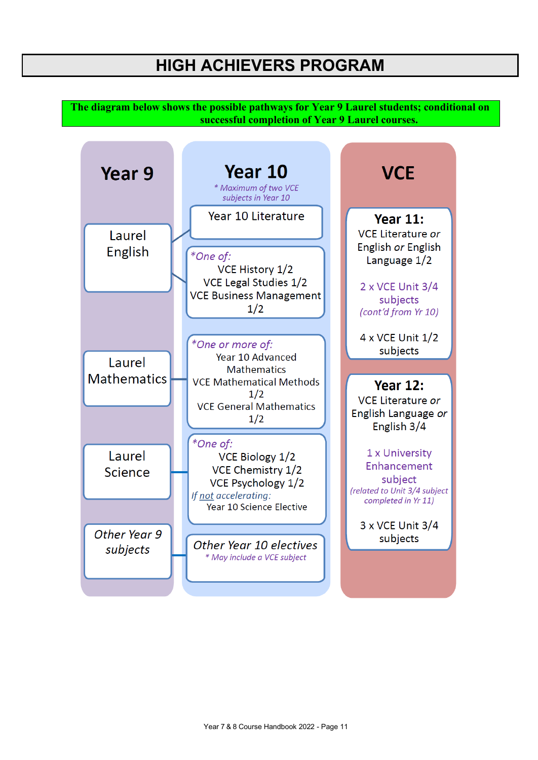## **HIGH ACHIEVERS PROGRAM**

**The diagram below shows the possible pathways for Year 9 Laurel students; conditional on successful completion of Year 9 Laurel courses.**

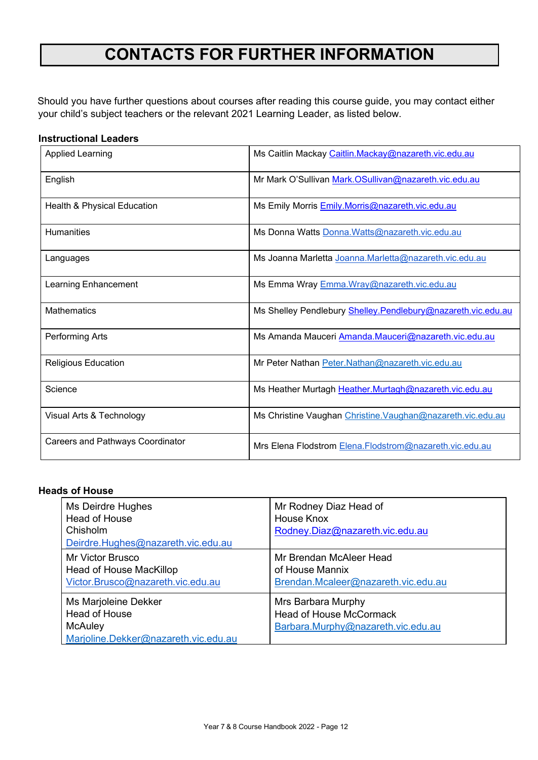## **CONTACTS FOR FURTHER INFORMATION**

Should you have further questions about courses after reading this course guide, you may contact either your child's subject teachers or the relevant 2021 Learning Leader, as listed below.

### **Instructional Leaders**

| <b>Applied Learning</b>                 | Ms Caitlin Mackay Caitlin.Mackay@nazareth.vic.edu.au         |  |
|-----------------------------------------|--------------------------------------------------------------|--|
| English                                 | Mr Mark O'Sullivan Mark.OSullivan@nazareth.vic.edu.au        |  |
| Health & Physical Education             | Ms Emily Morris Emily.Morris@nazareth.vic.edu.au             |  |
| <b>Humanities</b>                       | Ms Donna Watts Donna. Watts@nazareth.vic.edu.au              |  |
| Languages                               | Ms Joanna Marletta Joanna.Marletta@nazareth.vic.edu.au       |  |
| Learning Enhancement                    | Ms Emma Wray Emma. Wray@nazareth.vic.edu.au                  |  |
| <b>Mathematics</b>                      | Ms Shelley Pendlebury Shelley.Pendlebury@nazareth.vic.edu.au |  |
| Performing Arts                         | Ms Amanda Mauceri Amanda.Mauceri@nazareth.vic.edu.au         |  |
| <b>Religious Education</b>              | Mr Peter Nathan Peter.Nathan@nazareth.vic.edu.au             |  |
| Science                                 | Ms Heather Murtagh Heather.Murtagh@nazareth.vic.edu.au       |  |
| Visual Arts & Technology                | Ms Christine Vaughan Christine. Vaughan@nazareth.vic.edu.au  |  |
| <b>Careers and Pathways Coordinator</b> | Mrs Elena Flodstrom Elena. Flodstrom@nazareth.vic.edu.au     |  |

### **Heads of House**

| Ms Deirdre Hughes<br>Head of House<br>Chisholm<br>Deirdre.Hughes@nazareth.vic.edu.au     | Mr Rodney Diaz Head of<br>House Knox<br>Rodney.Diaz@nazareth.vic.edu.au                    |
|------------------------------------------------------------------------------------------|--------------------------------------------------------------------------------------------|
| Mr Victor Brusco<br>Head of House MacKillop<br>Victor.Brusco@nazareth.vic.edu.au         | Mr Brendan McAleer Head<br>of House Mannix<br>Brendan.Mcaleer@nazareth.vic.edu.au          |
| Ms Marjoleine Dekker<br>Head of House<br>McAuley<br>Marjoline.Dekker@nazareth.vic.edu.au | Mrs Barbara Murphy<br><b>Head of House McCormack</b><br>Barbara.Murphy@nazareth.vic.edu.au |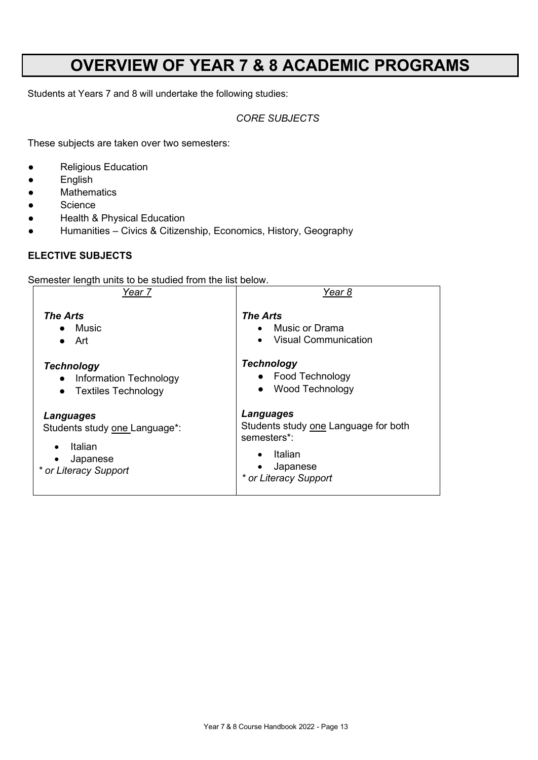## **OVERVIEW OF YEAR 7 & 8 ACADEMIC PROGRAMS**

Students at Years 7 and 8 will undertake the following studies:

### *CORE SUBJECTS*

These subjects are taken over two semesters:

- Religious Education
- English
- Mathematics
- Science
- Health & Physical Education
- Humanities Civics & Citizenship, Economics, History, Geography

### **ELECTIVE SUBJECTS**

Semester length units to be studied from the list below.

| Year 7                        | Year 8                               |  |
|-------------------------------|--------------------------------------|--|
| <b>The Arts</b>               | <b>The Arts</b>                      |  |
| $\bullet$ Music               | Music or Drama                       |  |
| $\bullet$ Art                 | <b>Visual Communication</b>          |  |
| <b>Technology</b>             | <b>Technology</b>                    |  |
| • Information Technology      | • Food Technology                    |  |
| <b>Textiles Technology</b>    | <b>Wood Technology</b>               |  |
| $\bullet$                     | $\bullet$                            |  |
| Languages                     | <b>Languages</b>                     |  |
| Students study one Language*: | Students study one Language for both |  |
| Italian                       | semesters*:                          |  |
| $\bullet$                     | Italian                              |  |
| Japanese                      | Japanese                             |  |
| * or Literacy Support         | * or Literacy Support                |  |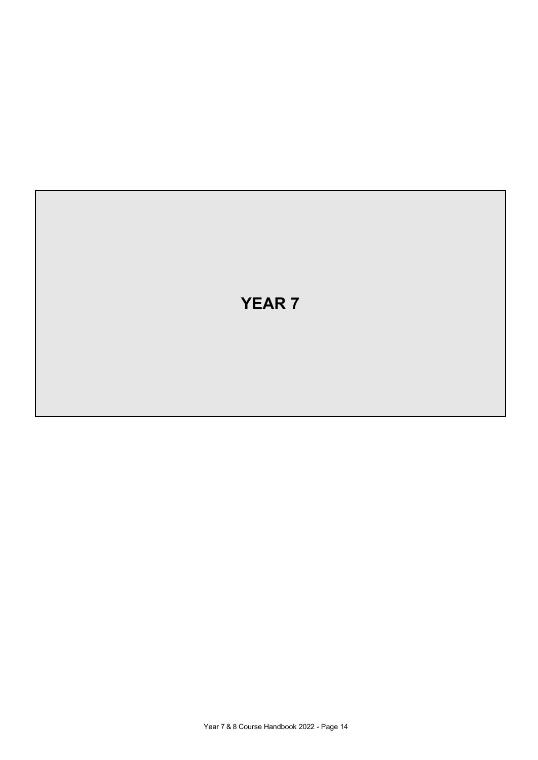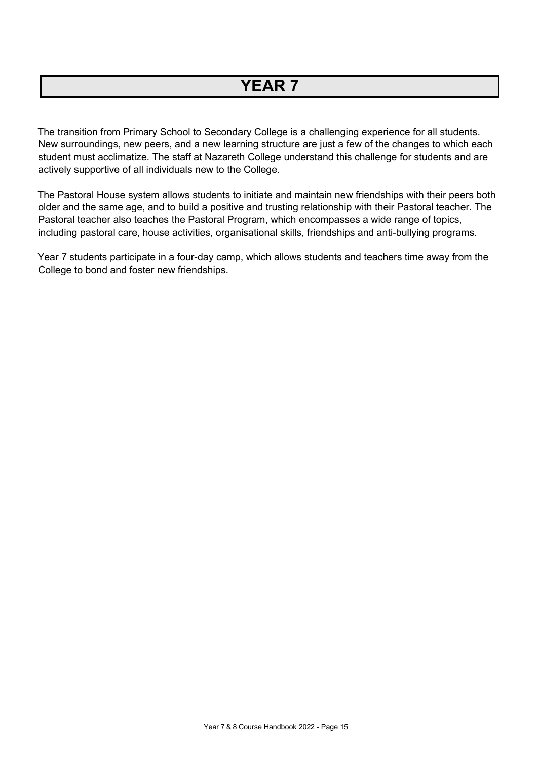## **YEAR 7**

The transition from Primary School to Secondary College is a challenging experience for all students. New surroundings, new peers, and a new learning structure are just a few of the changes to which each student must acclimatize. The staff at Nazareth College understand this challenge for students and are actively supportive of all individuals new to the College.

The Pastoral House system allows students to initiate and maintain new friendships with their peers both older and the same age, and to build a positive and trusting relationship with their Pastoral teacher. The Pastoral teacher also teaches the Pastoral Program, which encompasses a wide range of topics, including pastoral care, house activities, organisational skills, friendships and anti-bullying programs.

Year 7 students participate in a four-day camp, which allows students and teachers time away from the College to bond and foster new friendships.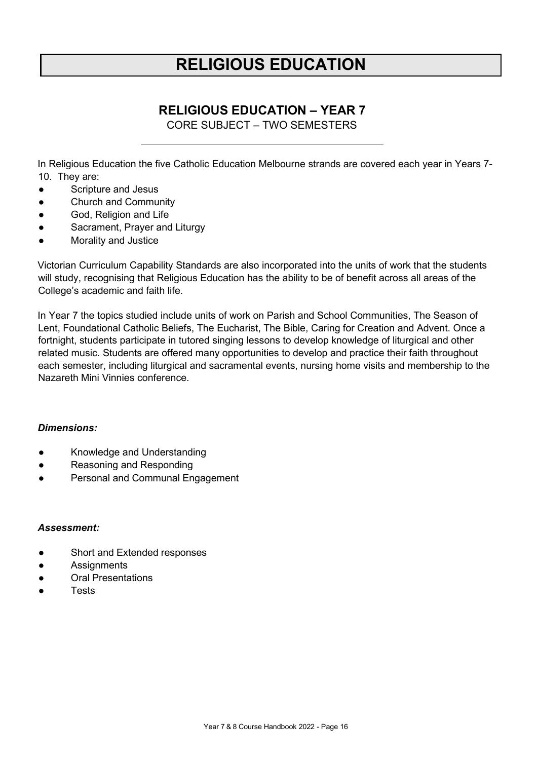## **RELIGIOUS EDUCATION**

### **RELIGIOUS EDUCATION – YEAR 7**

CORE SUBJECT – TWO SEMESTERS

<span id="page-15-0"></span>In Religious Education the five Catholic Education Melbourne strands are covered each year in Years 7- 10. They are:

- Scripture and Jesus
- Church and Community
- God, Religion and Life
- Sacrament, Prayer and Liturgy
- **Morality and Justice**

Victorian Curriculum Capability Standards are also incorporated into the units of work that the students will study, recognising that Religious Education has the ability to be of benefit across all areas of the College's academic and faith life.

In Year 7 the topics studied include units of work on Parish and School Communities, The Season of Lent, Foundational Catholic Beliefs, The Eucharist, The Bible, Caring for Creation and Advent. Once a fortnight, students participate in tutored singing lessons to develop knowledge of liturgical and other related music. Students are offered many opportunities to develop and practice their faith throughout each semester, including liturgical and sacramental events, nursing home visits and membership to the Nazareth Mini Vinnies conference.

### *Dimensions:*

- Knowledge and Understanding
- Reasoning and Responding
- Personal and Communal Engagement

- Short and Extended responses
- Assignments
- **Oral Presentations**
- **Tests**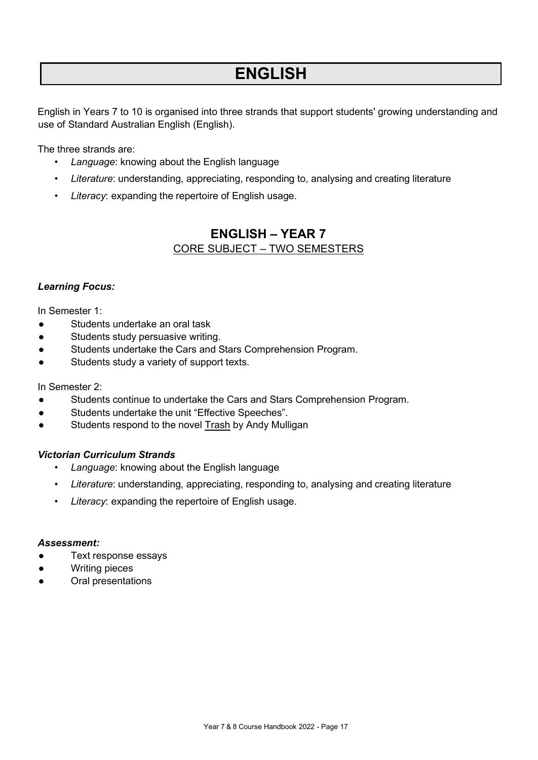## **ENGLISH**

English in Years 7 to 10 is organised into three strands that support students' growing understanding and use of Standard Australian English (English).

The three strands are:

- *Language*: knowing about the English language
- *Literature*: understanding, appreciating, responding to, analysing and creating literature
- <span id="page-16-0"></span>• *Literacy*: expanding the repertoire of English usage.

### **ENGLISH – YEAR 7** CORE SUBJECT – TWO SEMESTERS

### *Learning Focus:*

In Semester 1:

- Students undertake an oral task
- Students study persuasive writing.
- Students undertake the Cars and Stars Comprehension Program.
- Students study a variety of support texts.

### In Semester 2:

- Students continue to undertake the Cars and Stars Comprehension Program.
- Students undertake the unit "Effective Speeches".
- Students respond to the novel Trash by Andy Mulligan

### *Victorian Curriculum Strands*

- *Language*: knowing about the English language
- *Literature*: understanding, appreciating, responding to, analysing and creating literature
- Literacy: expanding the repertoire of English usage.

- Text response essays
- **Writing pieces**
- Oral presentations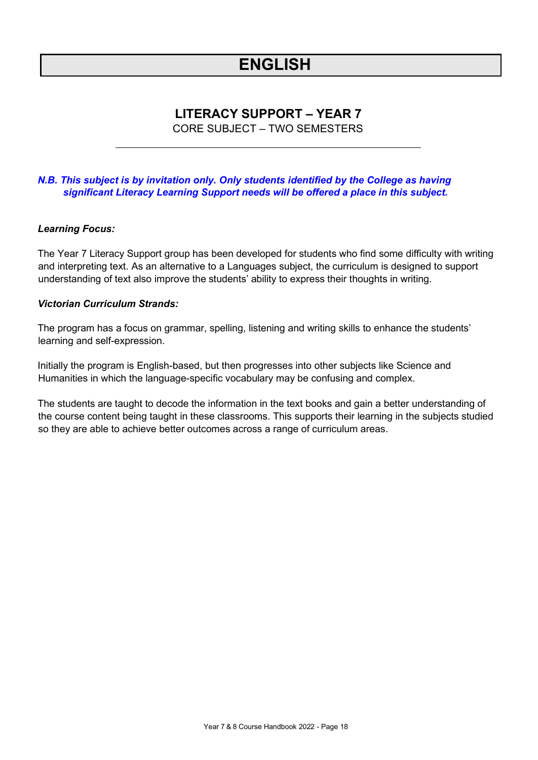## **ENGLISH**

### **LITERACY SUPPORT – YEAR 7**

CORE SUBJECT – TWO SEMESTERS

### <span id="page-17-0"></span>*N.B. This subject is by invitation only. Only students identified by the College as having significant Literacy Learning Support needs will be offered a place in this subject.*

### *Learning Focus:*

The Year 7 Literacy Support group has been developed for students who find some difficulty with writing and interpreting text. As an alternative to a Languages subject, the curriculum is designed to support understanding of text also improve the students' ability to express their thoughts in writing.

### *Victorian Curriculum Strands:*

The program has a focus on grammar, spelling, listening and writing skills to enhance the students' learning and self-expression.

Initially the program is English-based, but then progresses into other subjects like Science and Humanities in which the language-specific vocabulary may be confusing and complex.

The students are taught to decode the information in the text books and gain a better understanding of the course content being taught in these classrooms. This supports their learning in the subjects studied so they are able to achieve better outcomes across a range of curriculum areas.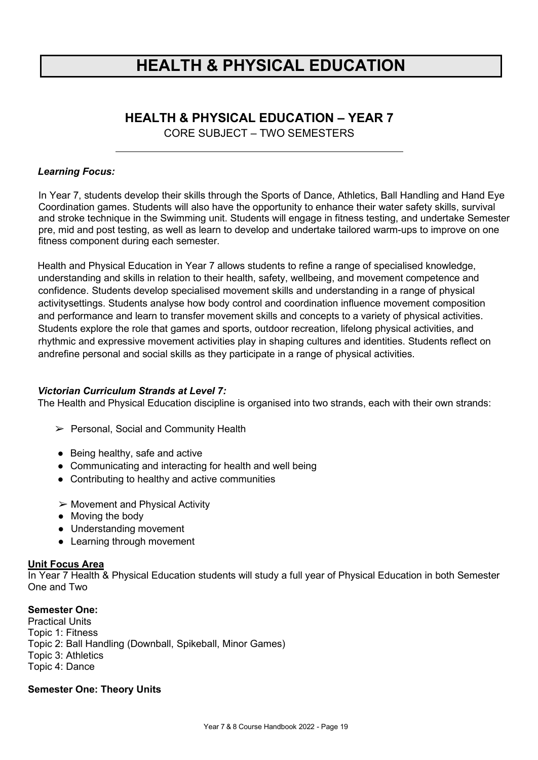## **HEALTH & PHYSICAL EDUCATION**

## **HEALTH & PHYSICAL EDUCATION – YEAR 7**

CORE SUBJECT – TWO SEMESTERS

### <span id="page-18-0"></span>*Learning Focus:*

In Year 7, students develop their skills through the Sports of Dance, Athletics, Ball Handling and Hand Eye Coordination games. Students will also have the opportunity to enhance their water safety skills, survival and stroke technique in the Swimming unit. Students will engage in fitness testing, and undertake Semester pre, mid and post testing, as well as learn to develop and undertake tailored warm-ups to improve on one fitness component during each semester.

Health and Physical Education in Year 7 allows students to refine a range of specialised knowledge, understanding and skills in relation to their health, safety, wellbeing, and movement competence and confidence. Students develop specialised movement skills and understanding in a range of physical activitysettings. Students analyse how body control and coordination influence movement composition and performance and learn to transfer movement skills and concepts to a variety of physical activities. Students explore the role that games and sports, outdoor recreation, lifelong physical activities, and rhythmic and expressive movement activities play in shaping cultures and identities. Students reflect on andrefine personal and social skills as they participate in a range of physical activities.

### *Victorian Curriculum Strands at Level 7:*

The Health and Physical Education discipline is organised into two strands, each with their own strands:

- ➢ Personal, Social and Community Health
- Being healthy, safe and active
- Communicating and interacting for health and well being
- Contributing to healthy and active communities
- ➢ Movement and Physical Activity
- Moving the body
- Understanding movement
- Learning through movement

#### **Unit Focus Area**

In Year 7 Health & Physical Education students will study a full year of Physical Education in both Semester One and Two

### **Semester One:**

Practical Units Topic 1: Fitness Topic 2: Ball Handling (Downball, Spikeball, Minor Games) Topic 3: Athletics Topic 4: Dance

### **Semester One: Theory Units**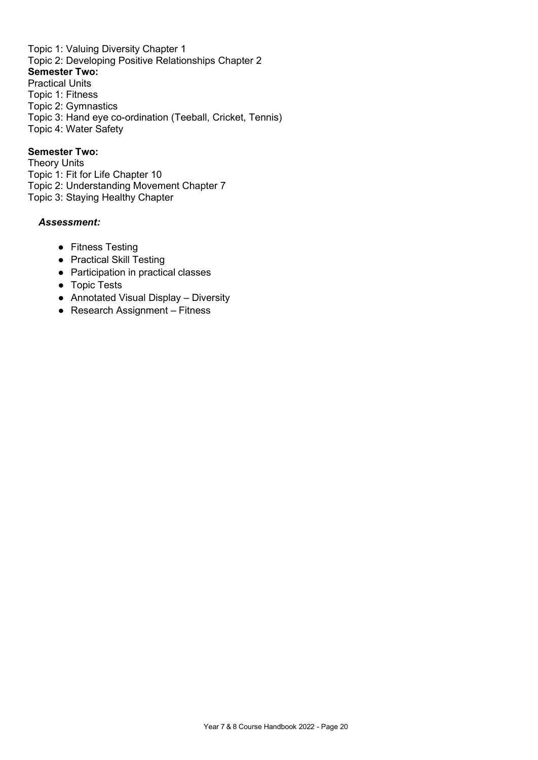Topic 1: Valuing Diversity Chapter 1 Topic 2: Developing Positive Relationships Chapter 2 **Semester Two:** Practical Units Topic 1: Fitness Topic 2: Gymnastics Topic 3: Hand eye co-ordination (Teeball, Cricket, Tennis) Topic 4: Water Safety

### **Semester Two:**

Theory Units Topic 1: Fit for Life Chapter 10 Topic 2: Understanding Movement Chapter 7 Topic 3: Staying Healthy Chapter

- Fitness Testing
- Practical Skill Testing
- Participation in practical classes
- Topic Tests
- Annotated Visual Display Diversity
- Research Assignment Fitness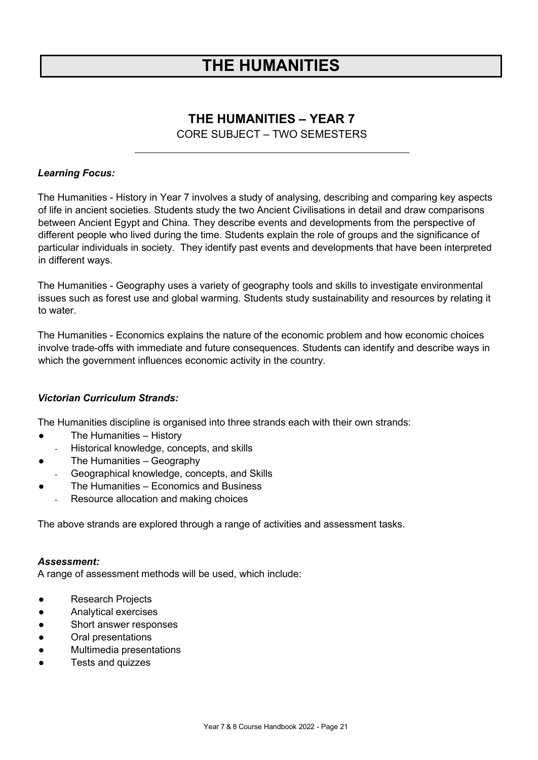## **THE HUMANITIES**

### **THE HUMANITIES – YEAR 7**

CORE SUBJECT – TWO SEMESTERS

### <span id="page-20-0"></span>*Learning Focus:*

The Humanities - History in Year 7 involves a study of analysing, describing and comparing key aspects of life in ancient societies. Students study the two Ancient Civilisations in detail and draw comparisons between Ancient Egypt and China. They describe events and developments from the perspective of different people who lived during the time. Students explain the role of groups and the significance of particular individuals in society. They identify past events and developments that have been interpreted in different ways.

The Humanities - Geography uses a variety of geography tools and skills to investigate environmental issues such as forest use and global warming. Students study sustainability and resources by relating it to water.

The Humanities - Economics explains the nature of the economic problem and how economic choices involve trade-offs with immediate and future consequences. Students can identify and describe ways in which the government influences economic activity in the country.

### *Victorian Curriculum Strands:*

The Humanities discipline is organised into three strands each with their own strands:

- The Humanities History
	- Historical knowledge, concepts, and skills
- The Humanities Geography
- Geographical knowledge, concepts, and Skills
- The Humanities Economics and Business
	- Resource allocation and making choices

The above strands are explored through a range of activities and assessment tasks.

#### *Assessment:*

A range of assessment methods will be used, which include:

- Research Projects
- Analytical exercises
- Short answer responses
- Oral presentations
- Multimedia presentations
- Tests and quizzes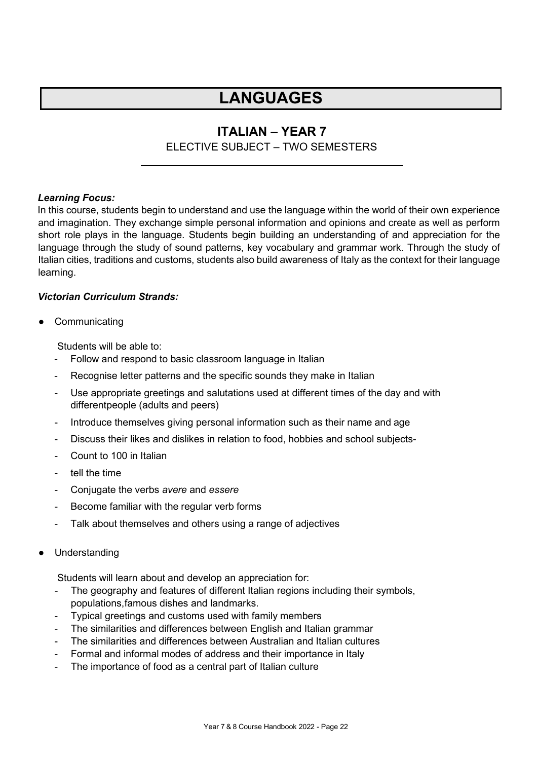### **ITALIAN – YEAR 7**

### ELECTIVE SUBJECT – TWO SEMESTERS

### <span id="page-21-0"></span>*Learning Focus:*

In this course, students begin to understand and use the language within the world of their own experience and imagination. They exchange simple personal information and opinions and create as well as perform short role plays in the language. Students begin building an understanding of and appreciation for the language through the study of sound patterns, key vocabulary and grammar work. Through the study of Italian cities, traditions and customs, students also build awareness of Italy as the context for their language learning.

### *Victorian Curriculum Strands:*

**Communicating** 

Students will be able to:

- Follow and respond to basic classroom language in Italian
- Recognise letter patterns and the specific sounds they make in Italian
- Use appropriate greetings and salutations used at different times of the day and with differentpeople (adults and peers)
- Introduce themselves giving personal information such as their name and age
- Discuss their likes and dislikes in relation to food, hobbies and school subjects-
- Count to 100 in Italian
- tell the time
- Conjugate the verbs *avere* and *essere*
- Become familiar with the regular verb forms
- Talk about themselves and others using a range of adjectives
- Understanding

Students will learn about and develop an appreciation for:

- The geography and features of different Italian regions including their symbols, populations,famous dishes and landmarks.
- Typical greetings and customs used with family members
- The similarities and differences between English and Italian grammar
- The similarities and differences between Australian and Italian cultures
- Formal and informal modes of address and their importance in Italy
- The importance of food as a central part of Italian culture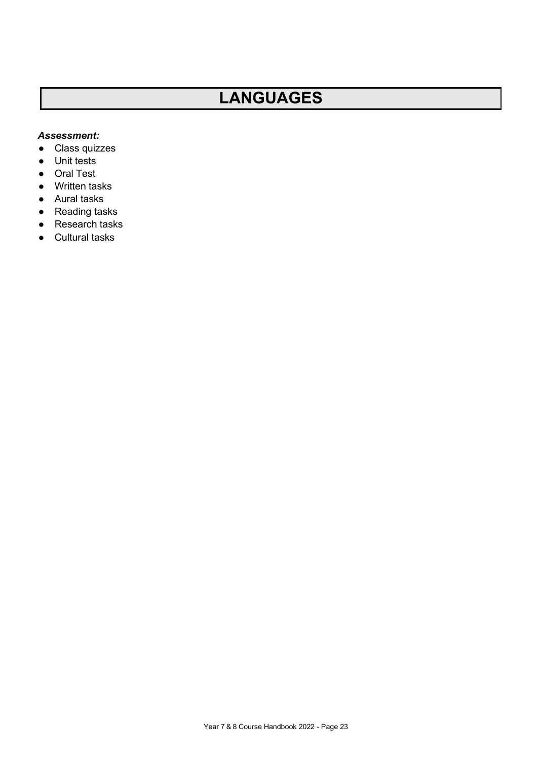- Class quizzes
- Unit tests
- Oral Test
- Written tasks
- Aural tasks
- Reading tasks
- Research tasks
- Cultural tasks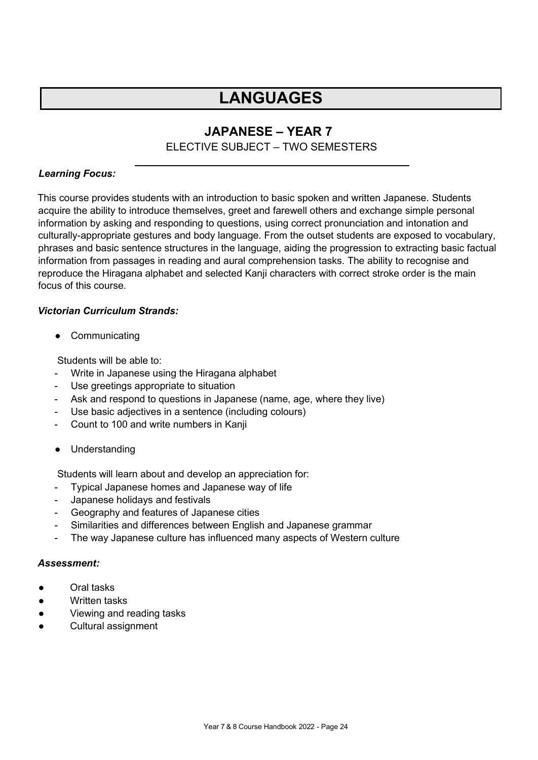### **JAPANESE – YEAR 7**

### ELECTIVE SUBJECT – TWO SEMESTERS

### <span id="page-23-0"></span>*Learning Focus:*

This course provides students with an introduction to basic spoken and written Japanese. Students acquire the ability to introduce themselves, greet and farewell others and exchange simple personal information by asking and responding to questions, using correct pronunciation and intonation and culturally-appropriate gestures and body language. From the outset students are exposed to vocabulary, phrases and basic sentence structures in the language, aiding the progression to extracting basic factual information from passages in reading and aural comprehension tasks. The ability to recognise and reproduce the Hiragana alphabet and selected Kanji characters with correct stroke order is the main focus of this course.

### *Victorian Curriculum Strands:*

● Communicating

Students will be able to:

- Write in Japanese using the Hiragana alphabet
- Use greetings appropriate to situation
- Ask and respond to questions in Japanese (name, age, where they live)
- Use basic adjectives in a sentence (including colours)
- Count to 100 and write numbers in Kanji
- Understanding

Students will learn about and develop an appreciation for:

- Typical Japanese homes and Japanese way of life
- Japanese holidays and festivals
- Geography and features of Japanese cities
- Similarities and differences between English and Japanese grammar
- The way Japanese culture has influenced many aspects of Western culture

- Oral tasks
- Written tasks
- Viewing and reading tasks
- Cultural assignment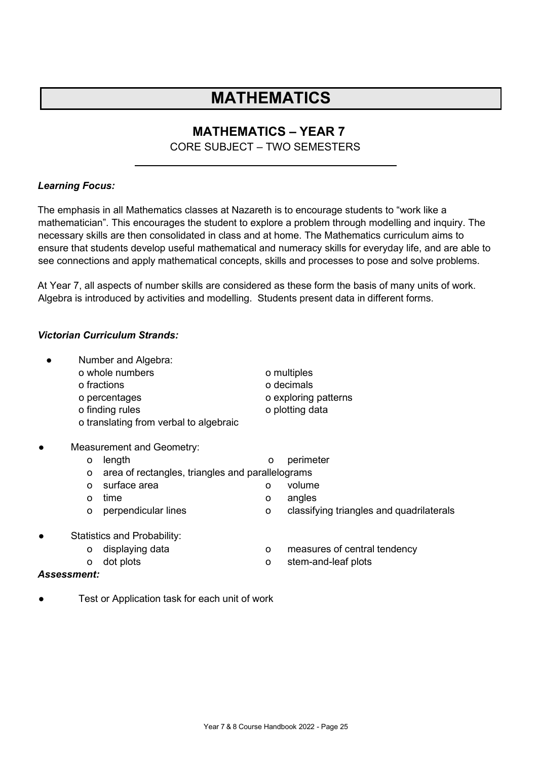## **MATHEMATICS**

### **MATHEMATICS – YEAR 7**

### CORE SUBJECT – TWO SEMESTERS

### <span id="page-24-0"></span>*Learning Focus:*

The emphasis in all Mathematics classes at Nazareth is to encourage students to "work like a mathematician". This encourages the student to explore a problem through modelling and inquiry. The necessary skills are then consolidated in class and at home. The Mathematics curriculum aims to ensure that students develop useful mathematical and numeracy skills for everyday life, and are able to see connections and apply mathematical concepts, skills and processes to pose and solve problems.

At Year 7, all aspects of number skills are considered as these form the basis of many units of work. Algebra is introduced by activities and modelling. Students present data in different forms.

### *Victorian Curriculum Strands:*

|           |          | Number and Algebra:<br>o whole numbers<br>o fractions<br>o percentages<br>o finding rules<br>o translating from verbal to algebraic |   | o multiples<br>o decimals<br>o exploring patterns<br>o plotting data |
|-----------|----------|-------------------------------------------------------------------------------------------------------------------------------------|---|----------------------------------------------------------------------|
| $\bullet$ |          | <b>Measurement and Geometry:</b>                                                                                                    |   |                                                                      |
|           | O        | length                                                                                                                              | o | perimeter                                                            |
|           | O        | area of rectangles, triangles and parallelograms                                                                                    |   |                                                                      |
|           | $\Omega$ | surface area                                                                                                                        | O | volume                                                               |
|           | $\Omega$ | time                                                                                                                                | O | angles                                                               |
|           | O        | perpendicular lines                                                                                                                 | O | classifying triangles and quadrilaterals                             |
|           |          | <b>Statistics and Probability:</b>                                                                                                  |   |                                                                      |
|           | o        | displaying data                                                                                                                     | O | measures of central tendency                                         |
|           | O        | dot plots                                                                                                                           | o | stem-and-leaf plots                                                  |

#### *Assessment:*

Test or Application task for each unit of work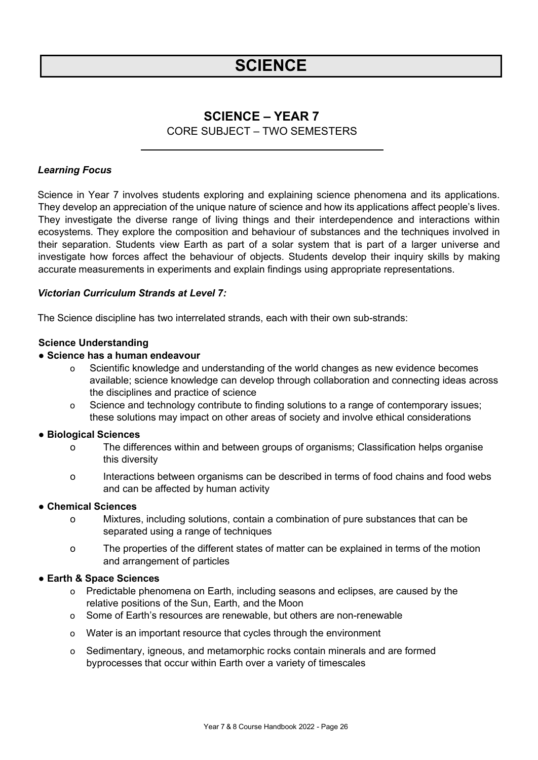## **SCIENCE**

### **SCIENCE – YEAR 7** CORE SUBJECT – TWO SEMESTERS

### <span id="page-25-0"></span>*Learning Focus*

Science in Year 7 involves students exploring and explaining science phenomena and its applications. They develop an appreciation of the unique nature of science and how its applications affect people's lives. They investigate the diverse range of living things and their interdependence and interactions within ecosystems. They explore the composition and behaviour of substances and the techniques involved in their separation. Students view Earth as part of a solar system that is part of a larger universe and investigate how forces affect the behaviour of objects. Students develop their inquiry skills by making accurate measurements in experiments and explain findings using appropriate representations.

#### *Victorian Curriculum Strands at Level 7:*

The Science discipline has two interrelated strands, each with their own sub-strands:

### **Science Understanding**

#### **● Science has a human endeavour**

- o Scientific knowledge and understanding of the world changes as new evidence becomes available; science knowledge can develop through collaboration and connecting ideas across the disciplines and practice of science
- o Science and technology contribute to finding solutions to a range of contemporary issues; these solutions may impact on other areas of society and involve ethical considerations

#### **● Biological Sciences**

- o The differences within and between groups of organisms; Classification helps organise this diversity
- o Interactions between organisms can be described in terms of food chains and food webs and can be affected by human activity

#### **● Chemical Sciences**

- o Mixtures, including solutions, contain a combination of pure substances that can be separated using a range of techniques
- o The properties of the different states of matter can be explained in terms of the motion and arrangement of particles

### **● Earth & Space Sciences**

- o Predictable phenomena on Earth, including seasons and eclipses, are caused by the relative positions of the Sun, Earth, and the Moon
- o Some of Earth's resources are renewable, but others are non-renewable
- o Water is an important resource that cycles through the environment
- o Sedimentary, igneous, and metamorphic rocks contain minerals and are formed byprocesses that occur within Earth over a variety of timescales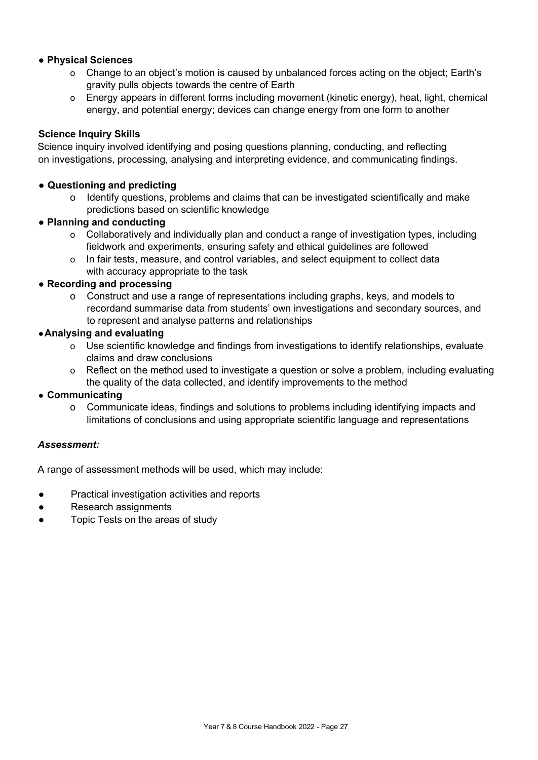### **● Physical Sciences**

- o Change to an object's motion is caused by unbalanced forces acting on the object; Earth's gravity pulls objects towards the centre of Earth
- o Energy appears in different forms including movement (kinetic energy), heat, light, chemical energy, and potential energy; devices can change energy from one form to another

### **Science Inquiry Skills**

Science inquiry involved identifying and posing questions planning, conducting, and reflecting on investigations, processing, analysing and interpreting evidence, and communicating findings.

### **● Questioning and predicting**

- o Identify questions, problems and claims that can be investigated scientifically and make predictions based on scientific knowledge
- **Planning and conducting**
	- o Collaboratively and individually plan and conduct a range of investigation types, including fieldwork and experiments, ensuring safety and ethical guidelines are followed
	- o In fair tests, measure, and control variables, and select equipment to collect data with accuracy appropriate to the task

### ● **Recording and processing**

o Construct and use a range of representations including graphs, keys, and models to recordand summarise data from students' own investigations and secondary sources, and to represent and analyse patterns and relationships

### **●Analysing and evaluating**

- o Use scientific knowledge and findings from investigations to identify relationships, evaluate claims and draw conclusions
- o Reflect on the method used to investigate a question or solve a problem, including evaluating the quality of the data collected, and identify improvements to the method

### **● Communicating**

o Communicate ideas, findings and solutions to problems including identifying impacts and limitations of conclusions and using appropriate scientific language and representations

#### *Assessment:*

A range of assessment methods will be used, which may include:

- Practical investigation activities and reports
- Research assignments
- Topic Tests on the areas of study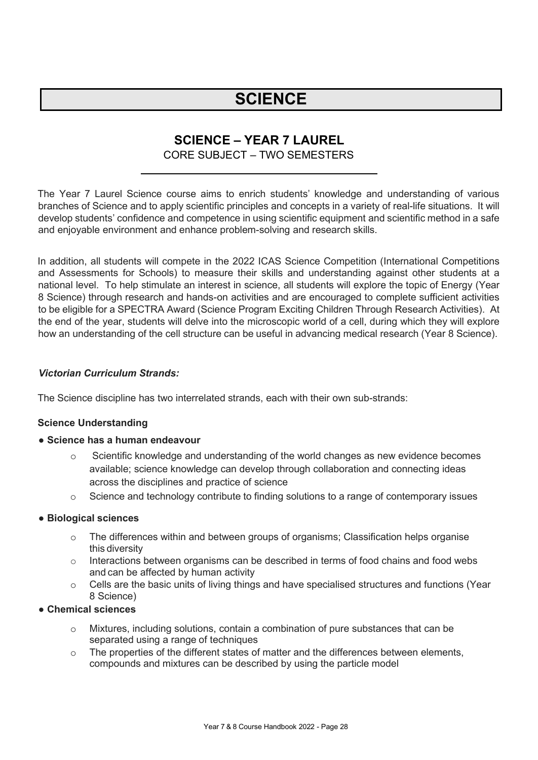## **SCIENCE**

### **SCIENCE – YEAR 7 LAUREL**

### CORE SUBJECT – TWO SEMESTERS

<span id="page-27-0"></span>The Year 7 Laurel Science course aims to enrich students' knowledge and understanding of various branches of Science and to apply scientific principles and concepts in a variety of real-life situations. It will develop students' confidence and competence in using scientific equipment and scientific method in a safe and enjoyable environment and enhance problem-solving and research skills.

In addition, all students will compete in the 2022 ICAS Science Competition (International Competitions and Assessments for Schools) to measure their skills and understanding against other students at a national level. To help stimulate an interest in science, all students will explore the topic of Energy (Year 8 Science) through research and hands-on activities and are encouraged to complete sufficient activities to be eligible for a SPECTRA Award (Science Program Exciting Children Through Research Activities). At the end of the year, students will delve into the microscopic world of a cell, during which they will explore how an understanding of the cell structure can be useful in advancing medical research (Year 8 Science).

### *Victorian Curriculum Strands:*

The Science discipline has two interrelated strands, each with their own sub-strands:

### **Science Understanding**

### ● **Science has a human endeavour**

- $\circ$  Scientific knowledge and understanding of the world changes as new evidence becomes available; science knowledge can develop through collaboration and connecting ideas across the disciplines and practice of science
- $\circ$  Science and technology contribute to finding solutions to a range of contemporary issues

### ● **Biological sciences**

- o The differences within and between groups of organisms; Classification helps organise this diversity
- $\circ$  Interactions between organisms can be described in terms of food chains and food webs and can be affected by human activity
- o Cells are the basic units of living things and have specialised structures and functions (Year 8 Science)

### ● **Chemical sciences**

- o Mixtures, including solutions, contain a combination of pure substances that can be separated using a range of techniques
- o The properties of the different states of matter and the differences between elements, compounds and mixtures can be described by using the particle model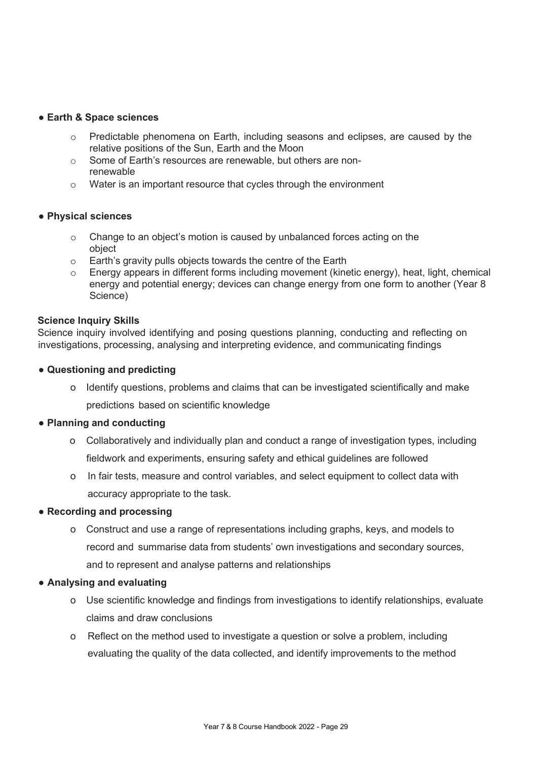#### ● **Earth & Space sciences**

- Predictable phenomena on Earth, including seasons and eclipses, are caused by the relative positions of the Sun, Earth and the Moon
- o Some of Earth's resources are renewable, but others are nonrenewable
- o Water is an important resource that cycles through the environment

### ● **Physical sciences**

- o Change to an object's motion is caused by unbalanced forces acting on the object
- o Earth's gravity pulls objects towards the centre of the Earth
- o Energy appears in different forms including movement (kinetic energy), heat, light, chemical energy and potential energy; devices can change energy from one form to another (Year 8 Science)

### **Science Inquiry Skills**

Science inquiry involved identifying and posing questions planning, conducting and reflecting on investigations, processing, analysing and interpreting evidence, and communicating findings

### ● **Questioning and predicting**

o Identify questions, problems and claims that can be investigated scientifically and make predictions based on scientific knowledge

#### ● **Planning and conducting**

- o Collaboratively and individually plan and conduct a range of investigation types, including fieldwork and experiments, ensuring safety and ethical guidelines are followed
- o In fair tests, measure and control variables, and select equipment to collect data with accuracy appropriate to the task.

### ● **Recording and processing**

o Construct and use a range of representations including graphs, keys, and models to record and summarise data from students' own investigations and secondary sources, and to represent and analyse patterns and relationships

#### ● **Analysing and evaluating**

- o Use scientific knowledge and findings from investigations to identify relationships, evaluate claims and draw conclusions
- o Reflect on the method used to investigate a question or solve a problem, including evaluating the quality of the data collected, and identify improvements to the method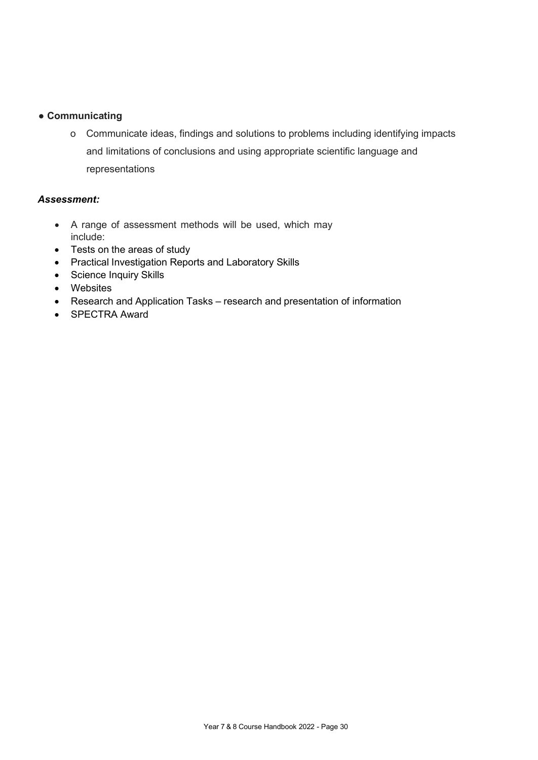### ● **Communicating**

o Communicate ideas, findings and solutions to problems including identifying impacts and limitations of conclusions and using appropriate scientific language and representations

- A range of assessment methods will be used, which may include:
- Tests on the areas of study
- Practical Investigation Reports and Laboratory Skills
- Science Inquiry Skills
- Websites
- Research and Application Tasks research and presentation of information
- SPECTRA Award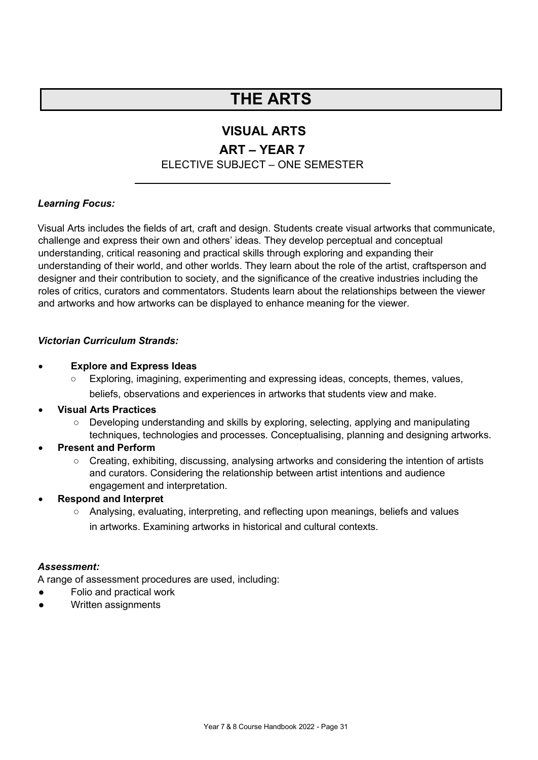## **THE ARTS**

### **VISUAL ARTS**

### **ART – YEAR 7**

### ELECTIVE SUBJECT – ONE SEMESTER

### <span id="page-30-0"></span>*Learning Focus:*

Visual Arts includes the fields of art, craft and design. Students create visual artworks that communicate, challenge and express their own and others' ideas. They develop perceptual and conceptual understanding, critical reasoning and practical skills through exploring and expanding their understanding of their world, and other worlds. They learn about the role of the artist, craftsperson and designer and their contribution to society, and the significance of the creative industries including the roles of critics, curators and commentators. Students learn about the relationships between the viewer and artworks and how artworks can be displayed to enhance meaning for the viewer.

### *Victorian Curriculum Strands:*

### • **Explore and Express Ideas**

○ Exploring, imagining, experimenting and expressing ideas, concepts, themes, values, beliefs, observations and experiences in artworks that students view and make.

### • **Visual Arts Practices**

- Developing understanding and skills by exploring, selecting, applying and manipulating techniques, technologies and processes. Conceptualising, planning and designing artworks.
- **Present and Perform**
	- Creating, exhibiting, discussing, analysing artworks and considering the intention of artists and curators. Considering the relationship between artist intentions and audience engagement and interpretation.
- **Respond and Interpret**
	- Analysing, evaluating, interpreting, and reflecting upon meanings, beliefs and values in artworks. Examining artworks in historical and cultural contexts.

### *Assessment:*

A range of assessment procedures are used, including:

- Folio and practical work
- Written assignments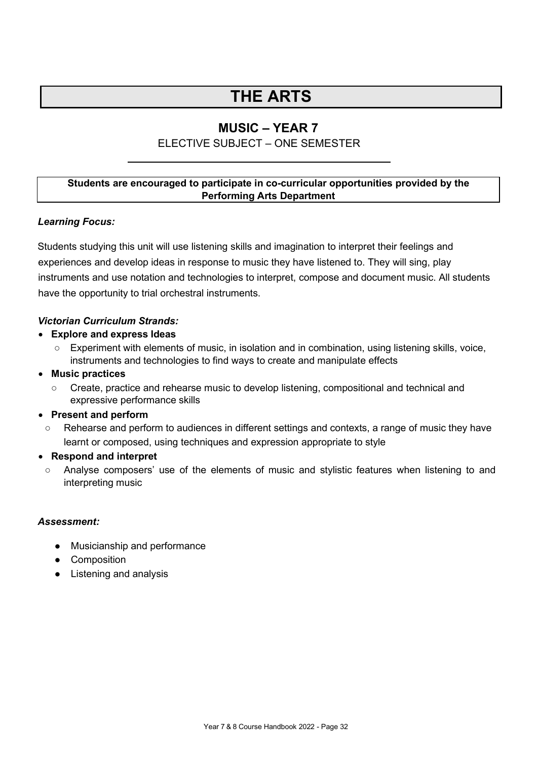## **THE ARTS**

### **MUSIC – YEAR 7**

### ELECTIVE SUBJECT – ONE SEMESTER

### <span id="page-31-0"></span>**Students are encouraged to participate in co-curricular opportunities provided by the Performing Arts Department**

### *Learning Focus:*

Students studying this unit will use listening skills and imagination to interpret their feelings and experiences and develop ideas in response to music they have listened to. They will sing, play instruments and use notation and technologies to interpret, compose and document music. All students have the opportunity to trial orchestral instruments.

### *Victorian Curriculum Strands:*

- **Explore and express Ideas**
	- Experiment with elements of music, in isolation and in combination, using listening skills, voice, instruments and technologies to find ways to create and manipulate effects
- **Music practices**
	- Create, practice and rehearse music to develop listening, compositional and technical and expressive performance skills

### • **Present and perform**

○ Rehearse and perform to audiences in different settings and contexts, a range of music they have learnt or composed, using techniques and expression appropriate to style

### • **Respond and interpret**

○ Analyse composers' use of the elements of music and stylistic features when listening to and interpreting music

- Musicianship and performance
- Composition
- Listening and analysis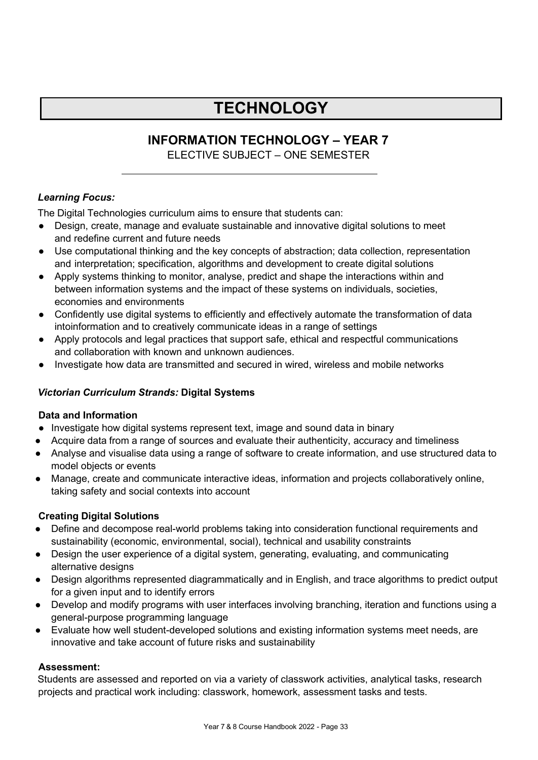## **TECHNOLOGY**

### **INFORMATION TECHNOLOGY – YEAR 7**

ELECTIVE SUBJECT – ONE SEMESTER

### <span id="page-32-0"></span>*Learning Focus:*

The Digital Technologies curriculum aims to ensure that students can:

- Design, create, manage and evaluate sustainable and innovative digital solutions to meet and redefine current and future needs
- Use computational thinking and the key concepts of abstraction; data collection, representation and interpretation; specification, algorithms and development to create digital solutions
- Apply systems thinking to monitor, analyse, predict and shape the interactions within and between information systems and the impact of these systems on individuals, societies, economies and environments
- Confidently use digital systems to efficiently and effectively automate the transformation of data intoinformation and to creatively communicate ideas in a range of settings
- Apply protocols and legal practices that support safe, ethical and respectful communications and collaboration with known and unknown audiences.
- Investigate how data are transmitted and secured in wired, wireless and mobile networks

### *Victorian Curriculum Strands:* **Digital Systems**

### **Data and Information**

- Investigate how digital systems represent text, image and sound data in binary
- Acquire data from a range of sources and evaluate their authenticity, accuracy and timeliness
- Analyse and visualise data using a range of software to create information, and use structured data to model objects or events
- Manage, create and communicate interactive ideas, information and projects collaboratively online, taking safety and social contexts into account

### **Creating Digital Solutions**

- Define and decompose real-world problems taking into consideration functional requirements and sustainability (economic, environmental, social), technical and usability constraints
- Design the user experience of a digital system, generating, evaluating, and communicating alternative designs
- Design algorithms represented diagrammatically and in English, and trace algorithms to predict output for a given input and to identify errors
- Develop and modify programs with user interfaces involving branching, iteration and functions using a general-purpose programming language
- Evaluate how well student-developed solutions and existing information systems meet needs, are innovative and take account of future risks and sustainability

### **Assessment:**

Students are assessed and reported on via a variety of classwork activities, analytical tasks, research projects and practical work including: classwork, homework, assessment tasks and tests.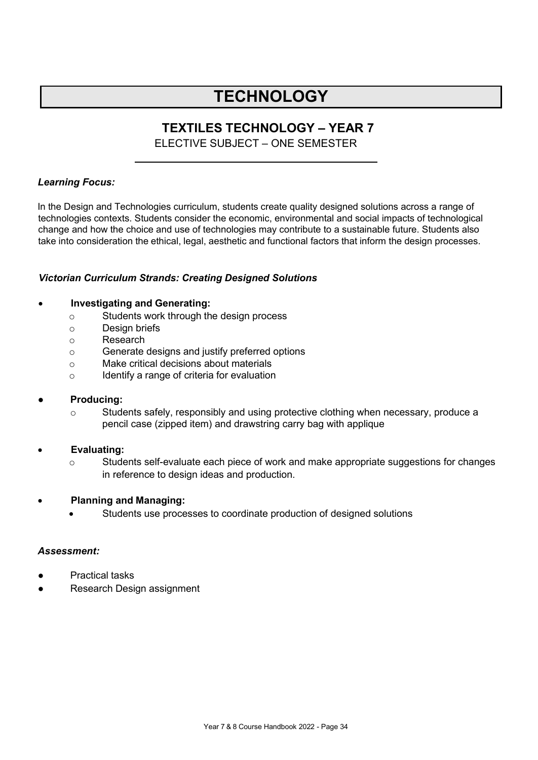## **TECHNOLOGY**

### **TEXTILES TECHNOLOGY – YEAR 7**

ELECTIVE SUBJECT – ONE SEMESTER

### <span id="page-33-0"></span>*Learning Focus:*

In the Design and Technologies curriculum, students create quality designed solutions across a range of technologies contexts. Students consider the economic, environmental and social impacts of technological change and how the choice and use of technologies may contribute to a sustainable future. Students also take into consideration the ethical, legal, aesthetic and functional factors that inform the design processes.

### *Victorian Curriculum Strands: Creating Designed Solutions*

### • **Investigating and Generating:**

- o Students work through the design process
- o Design briefs
- o Research
- o Generate designs and justify preferred options
- o Make critical decisions about materials
- o Identify a range of criteria for evaluation

### **Producing:**

- $\circ$  Students safely, responsibly and using protective clothing when necessary, produce a pencil case (zipped item) and drawstring carry bag with applique
- **Evaluating:**
	- o Students self-evaluate each piece of work and make appropriate suggestions for changes in reference to design ideas and production.
- **Planning and Managing:**
	- Students use processes to coordinate production of designed solutions

- **Practical tasks**
- Research Design assignment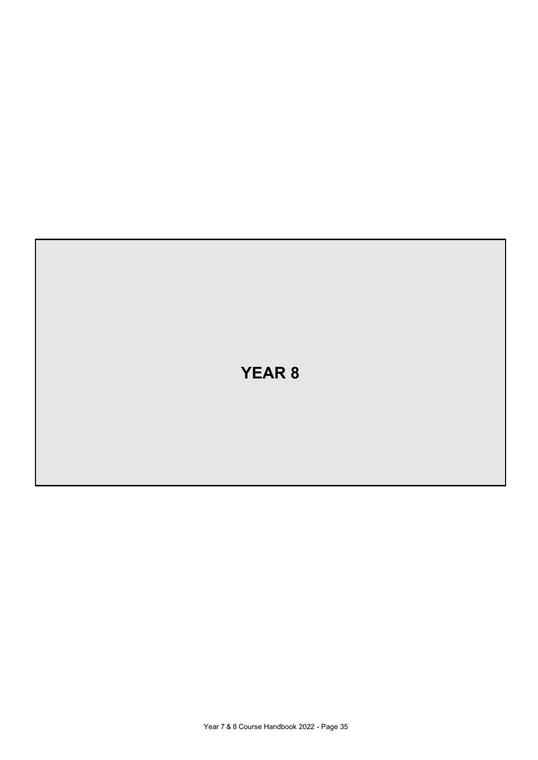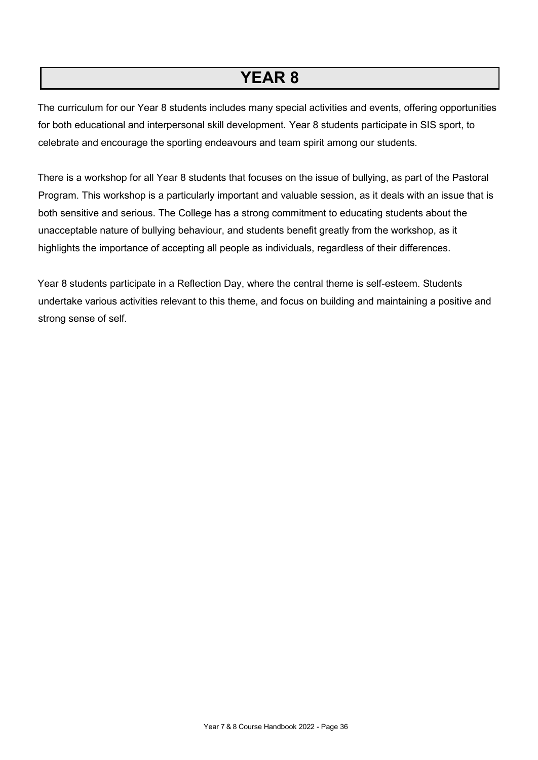## **YEAR 8**

The curriculum for our Year 8 students includes many special activities and events, offering opportunities for both educational and interpersonal skill development. Year 8 students participate in SIS sport, to celebrate and encourage the sporting endeavours and team spirit among our students.

There is a workshop for all Year 8 students that focuses on the issue of bullying, as part of the Pastoral Program. This workshop is a particularly important and valuable session, as it deals with an issue that is both sensitive and serious. The College has a strong commitment to educating students about the unacceptable nature of bullying behaviour, and students benefit greatly from the workshop, as it highlights the importance of accepting all people as individuals, regardless of their differences.

Year 8 students participate in a Reflection Day, where the central theme is self-esteem. Students undertake various activities relevant to this theme, and focus on building and maintaining a positive and strong sense of self.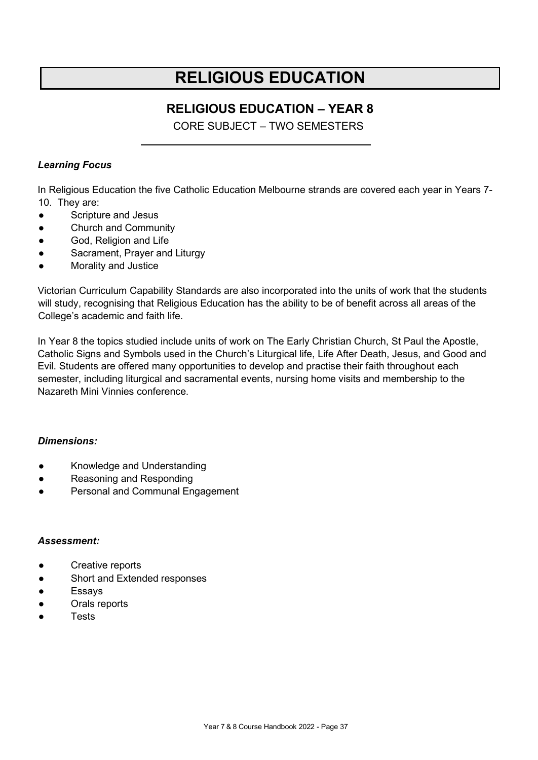## **RELIGIOUS EDUCATION**

### **RELIGIOUS EDUCATION – YEAR 8**

CORE SUBJECT – TWO SEMESTERS

### <span id="page-36-0"></span>*Learning Focus*

In Religious Education the five Catholic Education Melbourne strands are covered each year in Years 7- 10. They are:

- Scripture and Jesus
- Church and Community
- God, Religion and Life
- Sacrament, Prayer and Liturgy
- Morality and Justice

Victorian Curriculum Capability Standards are also incorporated into the units of work that the students will study, recognising that Religious Education has the ability to be of benefit across all areas of the College's academic and faith life.

In Year 8 the topics studied include units of work on The Early Christian Church, St Paul the Apostle, Catholic Signs and Symbols used in the Church's Liturgical life, Life After Death, Jesus, and Good and Evil. Students are offered many opportunities to develop and practise their faith throughout each semester, including liturgical and sacramental events, nursing home visits and membership to the Nazareth Mini Vinnies conference.

### *Dimensions:*

- Knowledge and Understanding
- Reasoning and Responding
- Personal and Communal Engagement

- Creative reports
- Short and Extended responses
- Essays
- Orals reports
- **Tests**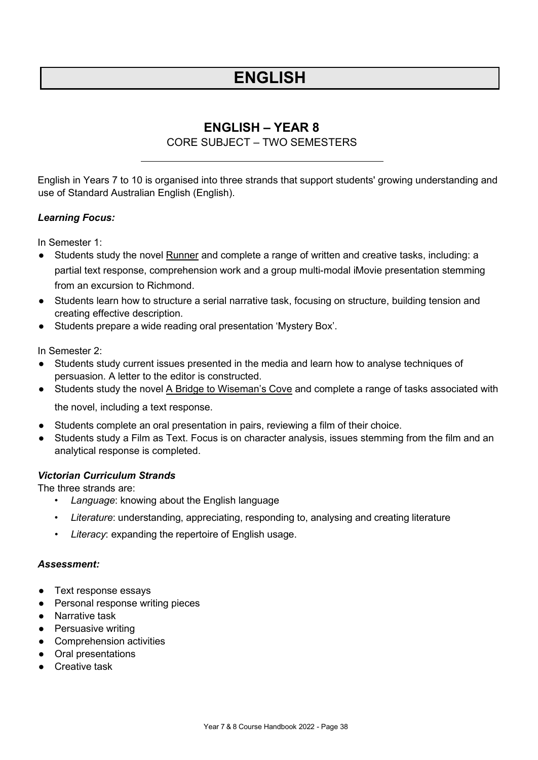## **ENGLISH**

### **ENGLISH – YEAR 8**

### CORE SUBJECT – TWO SEMESTERS

<span id="page-37-0"></span>English in Years 7 to 10 is organised into three strands that support students' growing understanding and use of Standard Australian English (English).

### *Learning Focus:*

In Semester 1:

- Students study the novel Runner and complete a range of written and creative tasks, including: a partial text response, comprehension work and a group multi-modal iMovie presentation stemming from an excursion to Richmond.
- Students learn how to structure a serial narrative task, focusing on structure, building tension and creating effective description.
- Students prepare a wide reading oral presentation 'Mystery Box'.

In Semester 2:

- Students study current issues presented in the media and learn how to analyse techniques of persuasion. A letter to the editor is constructed.
- Students study the novel A Bridge to Wiseman's Cove and complete a range of tasks associated with the novel, including a text response.
- Students complete an oral presentation in pairs, reviewing a film of their choice.
- Students study a Film as Text. Focus is on character analysis, issues stemming from the film and an analytical response is completed.

### *Victorian Curriculum Strands*

The three strands are:

- *Language*: knowing about the English language
- *Literature*: understanding, appreciating, responding to, analysing and creating literature
- Literacy: expanding the repertoire of English usage.

- Text response essays
- Personal response writing pieces
- Narrative task
- Persuasive writing
- Comprehension activities
- Oral presentations
- Creative task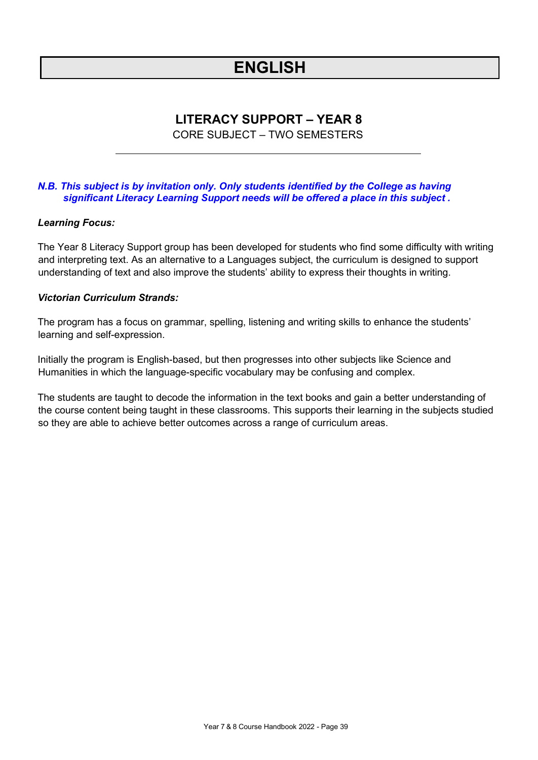## **ENGLISH**

### **LITERACY SUPPORT – YEAR 8**

CORE SUBJECT – TWO SEMESTERS

### <span id="page-38-0"></span>*N.B. This subject is by invitation only. Only students identified by the College as having significant Literacy Learning Support needs will be offered a place in this subject .*

### *Learning Focus:*

The Year 8 Literacy Support group has been developed for students who find some difficulty with writing and interpreting text. As an alternative to a Languages subject, the curriculum is designed to support understanding of text and also improve the students' ability to express their thoughts in writing.

### *Victorian Curriculum Strands:*

The program has a focus on grammar, spelling, listening and writing skills to enhance the students' learning and self-expression.

Initially the program is English-based, but then progresses into other subjects like Science and Humanities in which the language-specific vocabulary may be confusing and complex.

The students are taught to decode the information in the text books and gain a better understanding of the course content being taught in these classrooms. This supports their learning in the subjects studied so they are able to achieve better outcomes across a range of curriculum areas.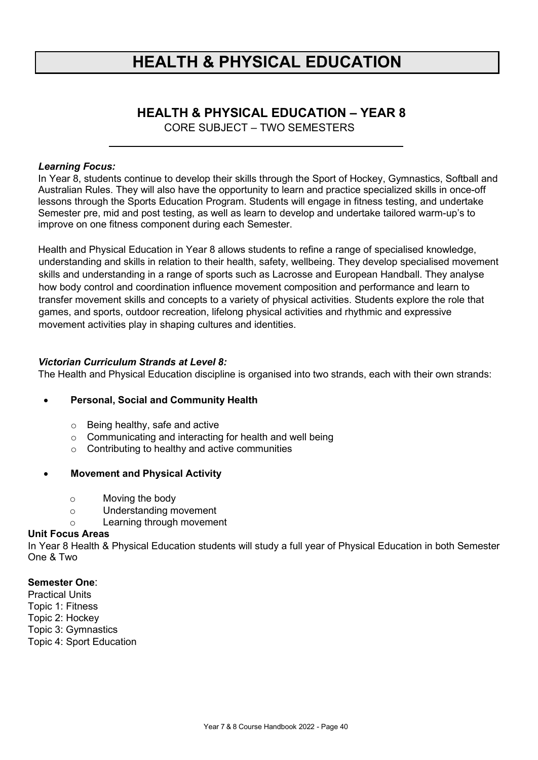## **HEALTH & PHYSICAL EDUCATION**

### **HEALTH & PHYSICAL EDUCATION – YEAR 8**

CORE SUBJECT – TWO SEMESTERS

### <span id="page-39-0"></span>*Learning Focus:*

In Year 8, students continue to develop their skills through the Sport of Hockey, Gymnastics, Softball and Australian Rules. They will also have the opportunity to learn and practice specialized skills in once-off lessons through the Sports Education Program. Students will engage in fitness testing, and undertake Semester pre, mid and post testing, as well as learn to develop and undertake tailored warm-up's to improve on one fitness component during each Semester.

Health and Physical Education in Year 8 allows students to refine a range of specialised knowledge, understanding and skills in relation to their health, safety, wellbeing. They develop specialised movement skills and understanding in a range of sports such as Lacrosse and European Handball. They analyse how body control and coordination influence movement composition and performance and learn to transfer movement skills and concepts to a variety of physical activities. Students explore the role that games, and sports, outdoor recreation, lifelong physical activities and rhythmic and expressive movement activities play in shaping cultures and identities.

### *Victorian Curriculum Strands at Level 8:*

The Health and Physical Education discipline is organised into two strands, each with their own strands:

### • **Personal, Social and Community Health**

- o Being healthy, safe and active
- o Communicating and interacting for health and well being
- o Contributing to healthy and active communities

### • **Movement and Physical Activity**

- o Moving the body
- o Understanding movement
- o Learning through movement

#### **Unit Focus Areas**

In Year 8 Health & Physical Education students will study a full year of Physical Education in both Semester One & Two

### **Semester One**:

Practical Units Topic 1: Fitness Topic 2: Hockey Topic 3: Gymnastics Topic 4: Sport Education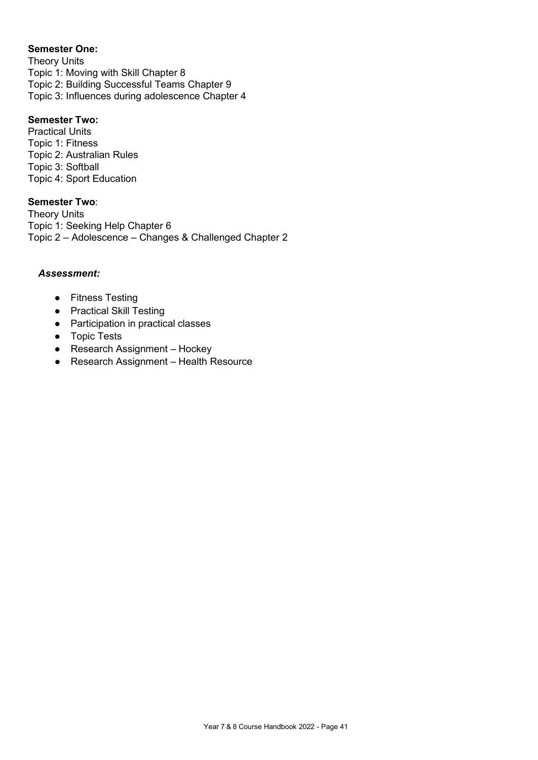### **Semester One:**

Theory Units Topic 1: Moving with Skill Chapter 8 Topic 2: Building Successful Teams Chapter 9 Topic 3: Influences during adolescence Chapter 4

### **Semester Two:**

Practical Units Topic 1: Fitness Topic 2: Australian Rules Topic 3: Softball Topic 4: Sport Education

### **Semester Two**:

Theory Units Topic 1: Seeking Help Chapter 6 Topic 2 – Adolescence – Changes & Challenged Chapter 2

- Fitness Testing
- Practical Skill Testing
- Participation in practical classes
- Topic Tests
- Research Assignment Hockey
- Research Assignment Health Resource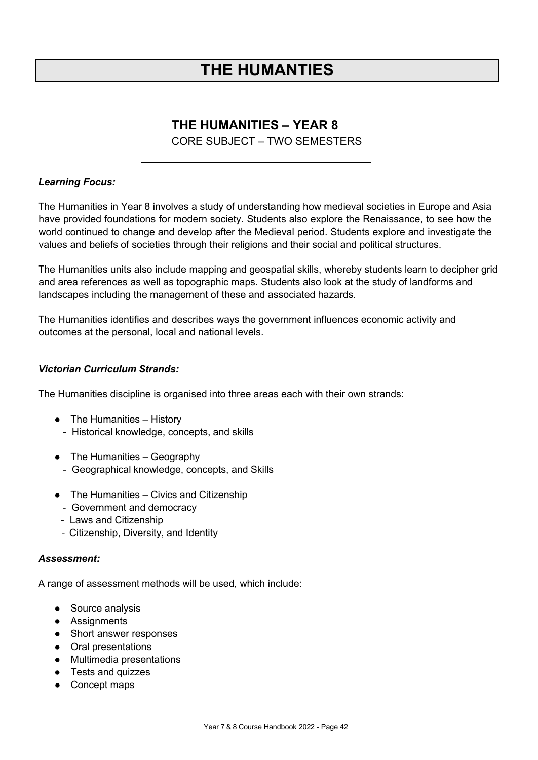## **THE HUMANTIES**

### **THE HUMANITIES – YEAR 8**

### CORE SUBJECT – TWO SEMESTERS

### <span id="page-41-0"></span>*Learning Focus:*

The Humanities in Year 8 involves a study of understanding how medieval societies in Europe and Asia have provided foundations for modern society. Students also explore the Renaissance, to see how the world continued to change and develop after the Medieval period. Students explore and investigate the values and beliefs of societies through their religions and their social and political structures.

The Humanities units also include mapping and geospatial skills, whereby students learn to decipher grid and area references as well as topographic maps. Students also look at the study of landforms and landscapes including the management of these and associated hazards.

The Humanities identifies and describes ways the government influences economic activity and outcomes at the personal, local and national levels.

### *Victorian Curriculum Strands:*

The Humanities discipline is organised into three areas each with their own strands:

- The Humanities History
	- Historical knowledge, concepts, and skills
- $\bullet$  The Humanities Geography
	- Geographical knowledge, concepts, and Skills
- The Humanities Civics and Citizenship
	- Government and democracy
	- Laws and Citizenship
	- Citizenship, Diversity, and Identity

#### *Assessment:*

A range of assessment methods will be used, which include:

- Source analysis
- Assignments
- Short answer responses
- Oral presentations
- Multimedia presentations
- Tests and quizzes
- Concept maps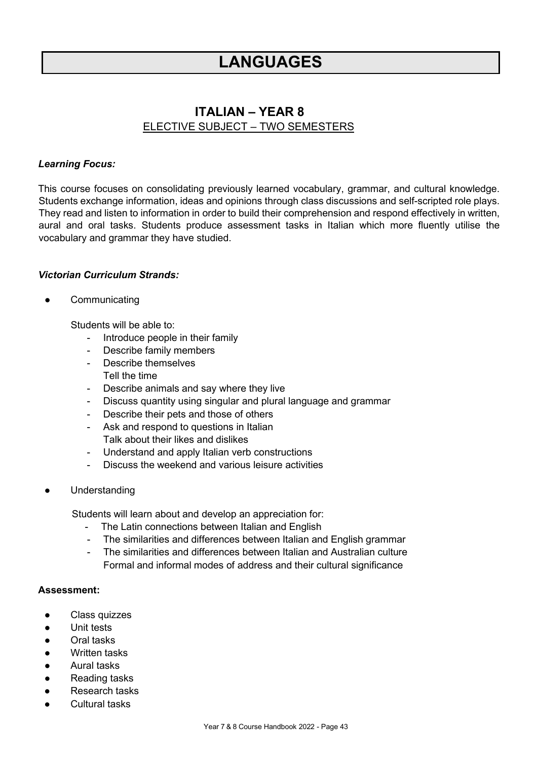### **ITALIAN – YEAR 8** ELECTIVE SUBJECT – TWO SEMESTERS

### <span id="page-42-0"></span>*Learning Focus:*

This course focuses on consolidating previously learned vocabulary, grammar, and cultural knowledge. Students exchange information, ideas and opinions through class discussions and self-scripted role plays. They read and listen to information in order to build their comprehension and respond effectively in written, aural and oral tasks. Students produce assessment tasks in Italian which more fluently utilise the vocabulary and grammar they have studied.

### *Victorian Curriculum Strands:*

Communicating

Students will be able to:

- Introduce people in their family
- Describe family members
- Describe themselves
- Tell the time
- Describe animals and say where they live
- Discuss quantity using singular and plural language and grammar
- Describe their pets and those of others
- Ask and respond to questions in Italian Talk about their likes and dislikes
- Understand and apply Italian verb constructions
- Discuss the weekend and various leisure activities
- Understanding

Students will learn about and develop an appreciation for:

- The Latin connections between Italian and English
- The similarities and differences between Italian and English grammar
- The similarities and differences between Italian and Australian culture Formal and informal modes of address and their cultural significance

- Class quizzes
- Unit tests
- **Oral tasks**
- Written tasks
- **Aural tasks**
- Reading tasks
- **Research tasks**
- **Cultural tasks**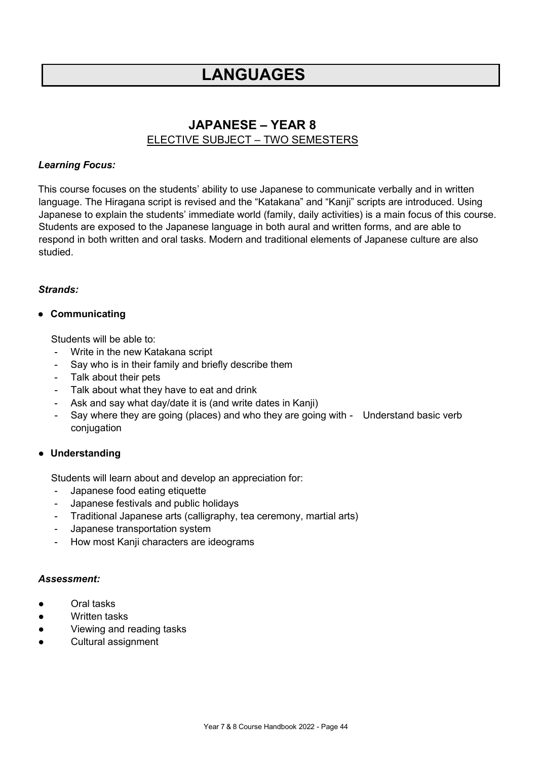### **JAPANESE – YEAR 8** ELECTIVE SUBJECT – TWO SEMESTERS

### <span id="page-43-0"></span>*Learning Focus:*

This course focuses on the students' ability to use Japanese to communicate verbally and in written language. The Hiragana script is revised and the "Katakana" and "Kanji" scripts are introduced. Using Japanese to explain the students' immediate world (family, daily activities) is a main focus of this course. Students are exposed to the Japanese language in both aural and written forms, and are able to respond in both written and oral tasks. Modern and traditional elements of Japanese culture are also studied.

### *Strands:*

### ● **Communicating**

Students will be able to:

- Write in the new Katakana script
- Say who is in their family and briefly describe them
- Talk about their pets
- Talk about what they have to eat and drink
- Ask and say what day/date it is (and write dates in Kanji)
- Say where they are going (places) and who they are going with Understand basic verb conjugation

### ● **Understanding**

Students will learn about and develop an appreciation for:

- Japanese food eating etiquette
- Japanese festivals and public holidays
- Traditional Japanese arts (calligraphy, tea ceremony, martial arts)
- Japanese transportation system
- How most Kanji characters are ideograms

- Oral tasks
- Written tasks
- Viewing and reading tasks
- Cultural assignment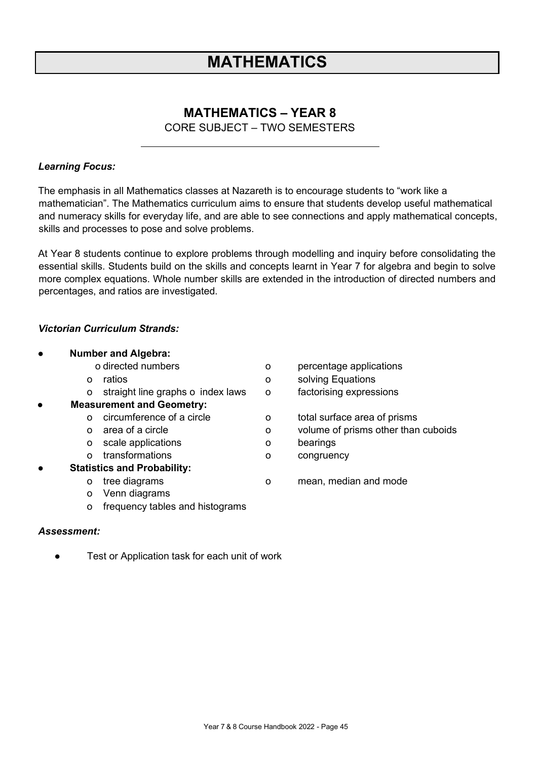## **MATHEMATICS**

### **MATHEMATICS – YEAR 8**

CORE SUBJECT – TWO SEMESTERS

### <span id="page-44-0"></span>*Learning Focus:*

The emphasis in all Mathematics classes at Nazareth is to encourage students to "work like a mathematician". The Mathematics curriculum aims to ensure that students develop useful mathematical and numeracy skills for everyday life, and are able to see connections and apply mathematical concepts, skills and processes to pose and solve problems.

At Year 8 students continue to explore problems through modelling and inquiry before consolidating the essential skills. Students build on the skills and concepts learnt in Year 7 for algebra and begin to solve more complex equations. Whole number skills are extended in the introduction of directed numbers and percentages, and ratios are investigated.

### *Victorian Curriculum Strands:*

| $\bullet$ | <b>Number and Algebra:</b>             |         |                                     |
|-----------|----------------------------------------|---------|-------------------------------------|
|           | o directed numbers                     | o       | percentage applications             |
|           | ratios<br>$\Omega$                     | o       | solving Equations                   |
|           | straight line graphs o index laws<br>o | $\circ$ | factorising expressions             |
| $\bullet$ | <b>Measurement and Geometry:</b>       |         |                                     |
|           | circumference of a circle<br>$\Omega$  | O       | total surface area of prisms        |
|           | area of a circle<br>$\Omega$           | o       | volume of prisms other than cuboids |
|           | scale applications<br>$\circ$          | O       | bearings                            |
|           | transformations<br>$\Omega$            | o       | congruency                          |
| $\bullet$ | <b>Statistics and Probability:</b>     |         |                                     |
|           | tree diagrams<br>O                     | O       | mean, median and mode               |
|           | Venn diagrams<br>o                     |         |                                     |
|           | frequency tables and histograms<br>O   |         |                                     |

#### *Assessment:*

● Test or Application task for each unit of work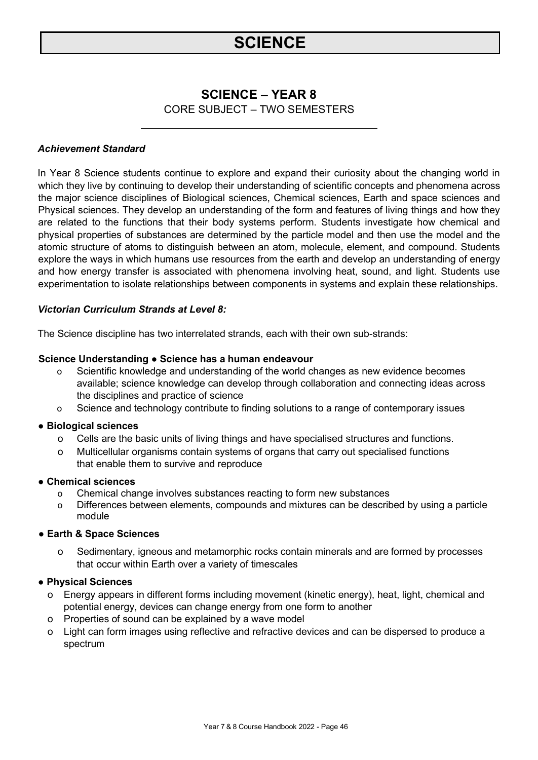## **SCIENCE**

### **SCIENCE – YEAR 8**

CORE SUBJECT – TWO SEMESTERS

### <span id="page-45-0"></span>*Achievement Standard*

In Year 8 Science students continue to explore and expand their curiosity about the changing world in which they live by continuing to develop their understanding of scientific concepts and phenomena across the major science disciplines of Biological sciences, Chemical sciences, Earth and space sciences and Physical sciences. They develop an understanding of the form and features of living things and how they are related to the functions that their body systems perform. Students investigate how chemical and physical properties of substances are determined by the particle model and then use the model and the atomic structure of atoms to distinguish between an atom, molecule, element, and compound. Students explore the ways in which humans use resources from the earth and develop an understanding of energy and how energy transfer is associated with phenomena involving heat, sound, and light. Students use experimentation to isolate relationships between components in systems and explain these relationships.

### *Victorian Curriculum Strands at Level 8:*

The Science discipline has two interrelated strands, each with their own sub-strands:

### **Science Understanding ● Science has a human endeavour**

- o Scientific knowledge and understanding of the world changes as new evidence becomes available; science knowledge can develop through collaboration and connecting ideas across the disciplines and practice of science
- o Science and technology contribute to finding solutions to a range of contemporary issues

### **● Biological sciences**

- o Cells are the basic units of living things and have specialised structures and functions.
- o Multicellular organisms contain systems of organs that carry out specialised functions that enable them to survive and reproduce

### **● Chemical sciences**

- o Chemical change involves substances reacting to form new substances
- o Differences between elements, compounds and mixtures can be described by using a particle module
- **● Earth & Space Sciences**
	- o Sedimentary, igneous and metamorphic rocks contain minerals and are formed by processes that occur within Earth over a variety of timescales

### **● Physical Sciences**

- o Energy appears in different forms including movement (kinetic energy), heat, light, chemical and potential energy, devices can change energy from one form to another
- o Properties of sound can be explained by a wave model
- o Light can form images using reflective and refractive devices and can be dispersed to produce a spectrum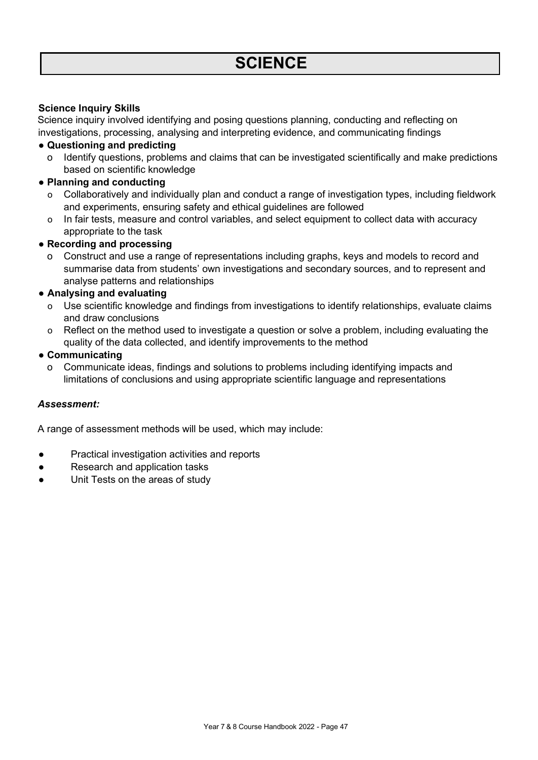### **Science Inquiry Skills**

Science inquiry involved identifying and posing questions planning, conducting and reflecting on investigations, processing, analysing and interpreting evidence, and communicating findings

- **● Questioning and predicting**
	- o Identify questions, problems and claims that can be investigated scientifically and make predictions based on scientific knowledge
- **● Planning and conducting**
	- o Collaboratively and individually plan and conduct a range of investigation types, including fieldwork and experiments, ensuring safety and ethical guidelines are followed
	- o In fair tests, measure and control variables, and select equipment to collect data with accuracy appropriate to the task
- **● Recording and processing**
	- o Construct and use a range of representations including graphs, keys and models to record and summarise data from students' own investigations and secondary sources, and to represent and analyse patterns and relationships

### **● Analysing and evaluating**

- o Use scientific knowledge and findings from investigations to identify relationships, evaluate claims and draw conclusions
- o Reflect on the method used to investigate a question or solve a problem, including evaluating the quality of the data collected, and identify improvements to the method

### **● Communicating**

o Communicate ideas, findings and solutions to problems including identifying impacts and limitations of conclusions and using appropriate scientific language and representations

### *Assessment:*

A range of assessment methods will be used, which may include:

- Practical investigation activities and reports
- Research and application tasks
- Unit Tests on the areas of study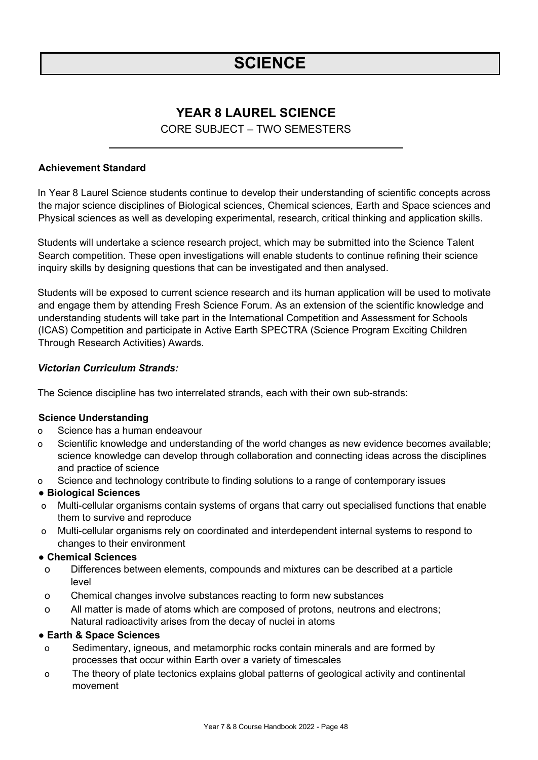## **SCIENCE**

### **YEAR 8 LAUREL SCIENCE**

### CORE SUBJECT – TWO SEMESTERS

### <span id="page-47-0"></span>**Achievement Standard**

In Year 8 Laurel Science students continue to develop their understanding of scientific concepts across the major science disciplines of Biological sciences, Chemical sciences, Earth and Space sciences and Physical sciences as well as developing experimental, research, critical thinking and application skills.

Students will undertake a science research project, which may be submitted into the Science Talent Search competition. These open investigations will enable students to continue refining their science inquiry skills by designing questions that can be investigated and then analysed.

Students will be exposed to current science research and its human application will be used to motivate and engage them by attending Fresh Science Forum. As an extension of the scientific knowledge and understanding students will take part in the International Competition and Assessment for Schools (ICAS) Competition and participate in Active Earth SPECTRA (Science Program Exciting Children Through Research Activities) Awards.

### *Victorian Curriculum Strands:*

The Science discipline has two interrelated strands, each with their own sub-strands:

#### **Science Understanding**

- o Science has a human endeavour
- o Scientific knowledge and understanding of the world changes as new evidence becomes available; science knowledge can develop through collaboration and connecting ideas across the disciplines and practice of science
- o Science and technology contribute to finding solutions to a range of contemporary issues

#### **● Biological Sciences**

- o Multi-cellular organisms contain systems of organs that carry out specialised functions that enable them to survive and reproduce
- o Multi-cellular organisms rely on coordinated and interdependent internal systems to respond to changes to their environment

### **● Chemical Sciences**

- o Differences between elements, compounds and mixtures can be described at a particle level
- o Chemical changes involve substances reacting to form new substances
- o All matter is made of atoms which are composed of protons, neutrons and electrons; Natural radioactivity arises from the decay of nuclei in atoms

#### **● Earth & Space Sciences**

- o Sedimentary, igneous, and metamorphic rocks contain minerals and are formed by processes that occur within Earth over a variety of timescales
- o The theory of plate tectonics explains global patterns of geological activity and continental movement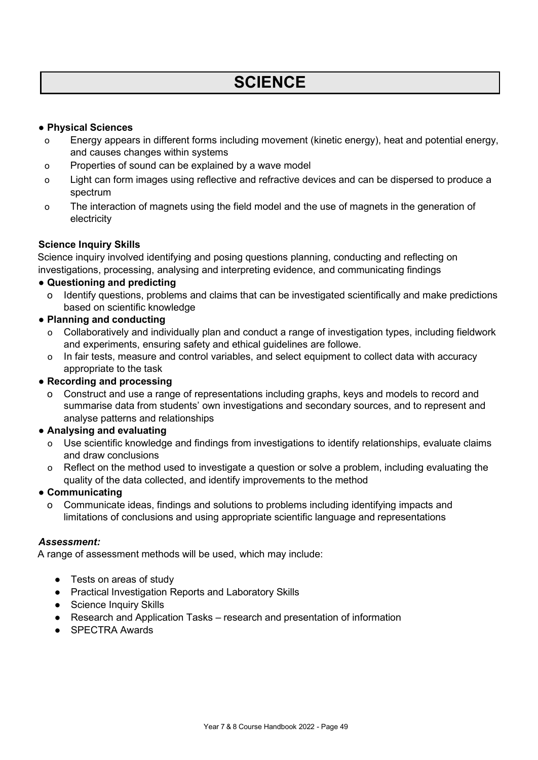## **SCIENCE**

### **● Physical Sciences**

- o Energy appears in different forms including movement (kinetic energy), heat and potential energy, and causes changes within systems
- o Properties of sound can be explained by a wave model
- o Light can form images using reflective and refractive devices and can be dispersed to produce a spectrum
- o The interaction of magnets using the field model and the use of magnets in the generation of electricity

### **Science Inquiry Skills**

Science inquiry involved identifying and posing questions planning, conducting and reflecting on investigations, processing, analysing and interpreting evidence, and communicating findings

### **● Questioning and predicting**

- o Identify questions, problems and claims that can be investigated scientifically and make predictions based on scientific knowledge
- **● Planning and conducting**
	- o Collaboratively and individually plan and conduct a range of investigation types, including fieldwork and experiments, ensuring safety and ethical guidelines are followe.
	- o In fair tests, measure and control variables, and select equipment to collect data with accuracy appropriate to the task

### **● Recording and processing**

Construct and use a range of representations including graphs, keys and models to record and summarise data from students' own investigations and secondary sources, and to represent and analyse patterns and relationships

### **● Analysing and evaluating**

- o Use scientific knowledge and findings from investigations to identify relationships, evaluate claims and draw conclusions
- o Reflect on the method used to investigate a question or solve a problem, including evaluating the quality of the data collected, and identify improvements to the method

### **● Communicating**

o Communicate ideas, findings and solutions to problems including identifying impacts and limitations of conclusions and using appropriate scientific language and representations

### *Assessment:*

A range of assessment methods will be used, which may include:

- Tests on areas of study
- Practical Investigation Reports and Laboratory Skills
- Science Inquiry Skills
- Research and Application Tasks research and presentation of information
- SPECTRA Awards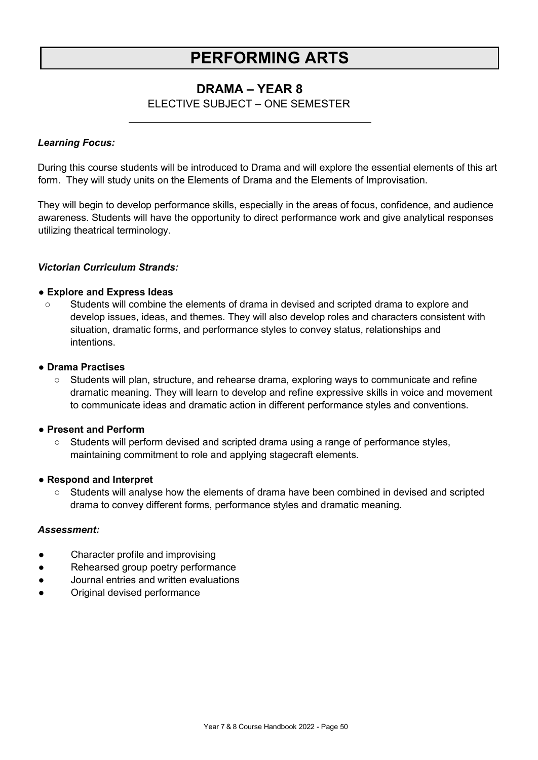## **PERFORMING ARTS**

### **DRAMA – YEAR 8**

### ELECTIVE SUBJECT – ONE SEMESTER

### <span id="page-49-0"></span>*Learning Focus:*

During this course students will be introduced to Drama and will explore the essential elements of this art form. They will study units on the Elements of Drama and the Elements of Improvisation.

They will begin to develop performance skills, especially in the areas of focus, confidence, and audience awareness. Students will have the opportunity to direct performance work and give analytical responses utilizing theatrical terminology.

### *Victorian Curriculum Strands:*

### **● Explore and Express Ideas**

○ Students will combine the elements of drama in devised and scripted drama to explore and develop issues, ideas, and themes. They will also develop roles and characters consistent with situation, dramatic forms, and performance styles to convey status, relationships and intentions.

### **● Drama Practises**

○ Students will plan, structure, and rehearse drama, exploring ways to communicate and refine dramatic meaning. They will learn to develop and refine expressive skills in voice and movement to communicate ideas and dramatic action in different performance styles and conventions.

#### **● Present and Perform**

○ Students will perform devised and scripted drama using a range of performance styles, maintaining commitment to role and applying stagecraft elements.

### **● Respond and Interpret**

○ Students will analyse how the elements of drama have been combined in devised and scripted drama to convey different forms, performance styles and dramatic meaning.

- Character profile and improvising
- Rehearsed group poetry performance
- Journal entries and written evaluations
- Original devised performance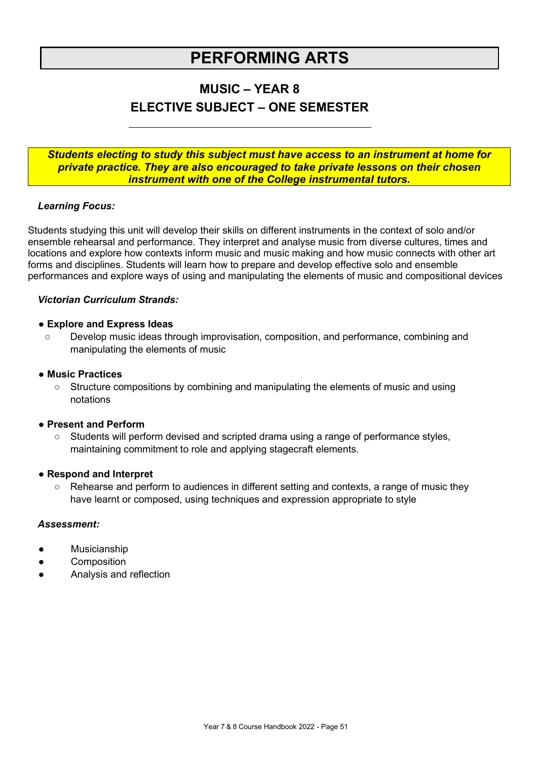## **PERFORMING ARTS**

### **MUSIC – YEAR 8 ELECTIVE SUBJECT – ONE SEMESTER**

### *Students electing to study this subject must have access to an instrument at home for private practice. They are also encouraged to take private lessons on their chosen instrument with one of the College instrumental tutors.*

### *Learning Focus:*

Students studying this unit will develop their skills on different instruments in the context of solo and/or ensemble rehearsal and performance. They interpret and analyse music from diverse cultures, times and locations and explore how contexts inform music and music making and how music connects with other art forms and disciplines. Students will learn how to prepare and develop effective solo and ensemble performances and explore ways of using and manipulating the elements of music and compositional devices

### *Victorian Curriculum Strands:*

### **● Explore and Express Ideas**

Develop music ideas through improvisation, composition, and performance, combining and manipulating the elements of music

### **● Music Practices**

○ Structure compositions by combining and manipulating the elements of music and using notations

### **● Present and Perform**

○ Students will perform devised and scripted drama using a range of performance styles, maintaining commitment to role and applying stagecraft elements.

#### **● Respond and Interpret**

○ Rehearse and perform to audiences in different setting and contexts, a range of music they have learnt or composed, using techniques and expression appropriate to style

- Musicianship
- **Composition**
- Analysis and reflection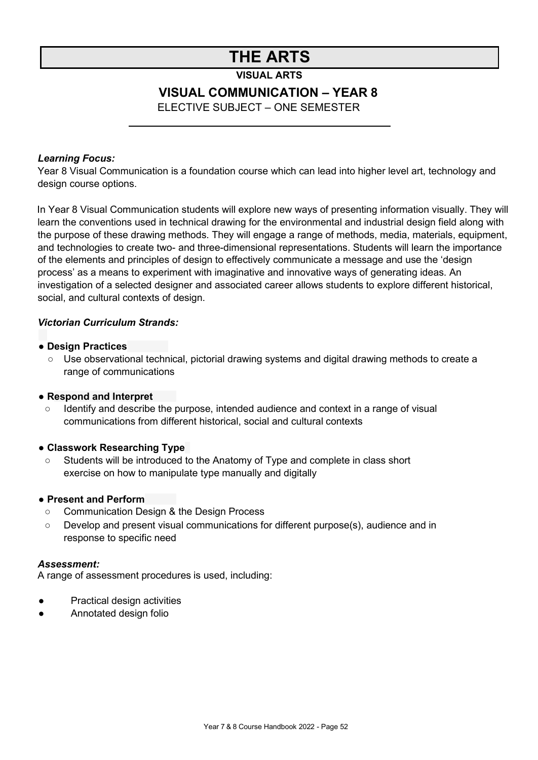## **THE ARTS**

**VISUAL ARTS**

### **VISUAL COMMUNICATION – YEAR 8**

ELECTIVE SUBJECT – ONE SEMESTER

### <span id="page-51-0"></span>*Learning Focus:*

Year 8 Visual Communication is a foundation course which can lead into higher level art, technology and design course options.

In Year 8 Visual Communication students will explore new ways of presenting information visually. They will learn the conventions used in technical drawing for the environmental and industrial design field along with the purpose of these drawing methods. They will engage a range of methods, media, materials, equipment, and technologies to create two- and three-dimensional representations. Students will learn the importance of the elements and principles of design to effectively communicate a message and use the 'design process' as a means to experiment with imaginative and innovative ways of generating ideas. An investigation of a selected designer and associated career allows students to explore different historical, social, and cultural contexts of design.

### *Victorian Curriculum Strands:*

### **● Design Practices**

○ Use observational technical, pictorial drawing systems and digital drawing methods to create a range of communications

### **● Respond and Interpret**

○ Identify and describe the purpose, intended audience and context in a range of visual communications from different historical, social and cultural contexts

### **● Classwork Researching Type**

○ Students will be introduced to the Anatomy of Type and complete in class short exercise on how to manipulate type manually and digitally

### **● Present and Perform**

- Communication Design & the Design Process
- Develop and present visual communications for different purpose(s), audience and in response to specific need

### *Assessment:*

A range of assessment procedures is used, including:

- **Practical design activities**
- Annotated design folio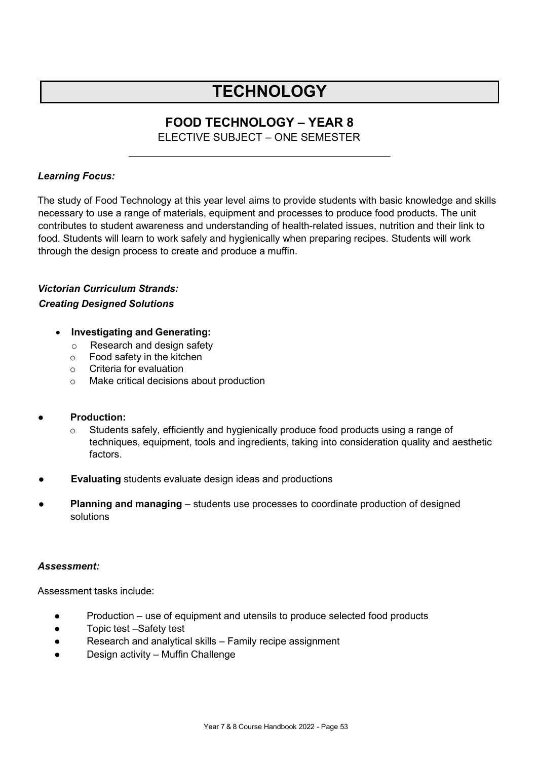## **TECHNOLOGY**

### **FOOD TECHNOLOGY – YEAR 8**

ELECTIVE SUBJECT – ONE SEMESTER

### *Learning Focus:*

The study of Food Technology at this year level aims to provide students with basic knowledge and skills necessary to use a range of materials, equipment and processes to produce food products. The unit contributes to student awareness and understanding of health-related issues, nutrition and their link to food. Students will learn to work safely and hygienically when preparing recipes. Students will work through the design process to create and produce a muffin.

### *Victorian Curriculum Strands: Creating Designed Solutions*

### • **Investigating and Generating:**

- o Research and design safety
- o Food safety in the kitchen
- o Criteria for evaluation
- o Make critical decisions about production

### **Production:**

- $\circ$  Students safely, efficiently and hygienically produce food products using a range of techniques, equipment, tools and ingredients, taking into consideration quality and aesthetic factors.
- **Evaluating** students evaluate design ideas and productions
- **Planning and managing** students use processes to coordinate production of designed solutions

### *Assessment:*

Assessment tasks include:

- Production use of equipment and utensils to produce selected food products
- Topic test –Safety test
- Research and analytical skills Family recipe assignment
- Design activity Muffin Challenge